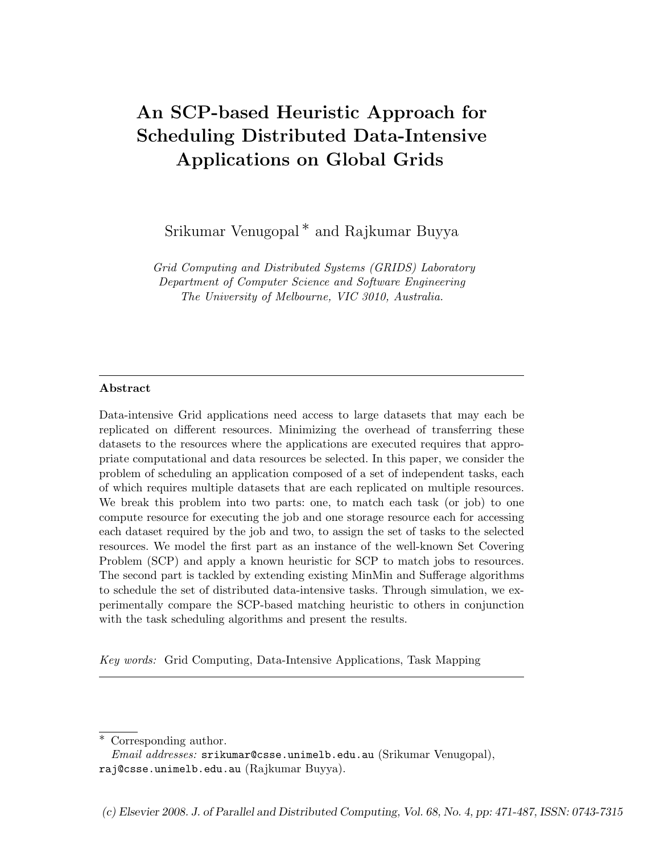# An SCP-based Heuristic Approach for Scheduling Distributed Data-Intensive Applications on Global Grids

Srikumar Venugopal ∗ and Rajkumar Buyya

Grid Computing and Distributed Systems (GRIDS) Laboratory Department of Computer Science and Software Engineering The University of Melbourne, VIC 3010, Australia.

## Abstract

Data-intensive Grid applications need access to large datasets that may each be replicated on different resources. Minimizing the overhead of transferring these datasets to the resources where the applications are executed requires that appropriate computational and data resources be selected. In this paper, we consider the problem of scheduling an application composed of a set of independent tasks, each of which requires multiple datasets that are each replicated on multiple resources. We break this problem into two parts: one, to match each task (or job) to one compute resource for executing the job and one storage resource each for accessing each dataset required by the job and two, to assign the set of tasks to the selected resources. We model the first part as an instance of the well-known Set Covering Problem (SCP) and apply a known heuristic for SCP to match jobs to resources. The second part is tackled by extending existing MinMin and Sufferage algorithms to schedule the set of distributed data-intensive tasks. Through simulation, we experimentally compare the SCP-based matching heuristic to others in conjunction with the task scheduling algorithms and present the results.

Key words: Grid Computing, Data-Intensive Applications, Task Mapping

Corresponding author.

*Email addresses:* srikumar@csse.unimelb.edu.au (Srikumar Venugopal), raj@csse.unimelb.edu.au (Rajkumar Buyya).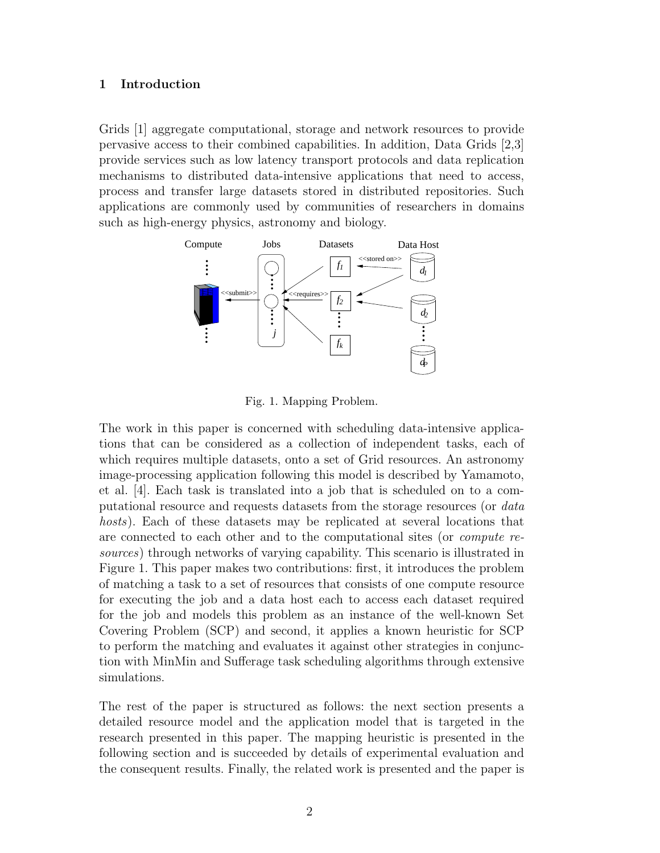#### 1 Introduction

Grids [1] aggregate computational, storage and network resources to provide pervasive access to their combined capabilities. In addition, Data Grids [2,3] provide services such as low latency transport protocols and data replication mechanisms to distributed data-intensive applications that need to access, process and transfer large datasets stored in distributed repositories. Such applications are commonly used by communities of researchers in domains such as high-energy physics, astronomy and biology.



Fig. 1. Mapping Problem.

The work in this paper is concerned with scheduling data-intensive applications that can be considered as a collection of independent tasks, each of which requires multiple datasets, onto a set of Grid resources. An astronomy image-processing application following this model is described by Yamamoto, et al. [4]. Each task is translated into a job that is scheduled on to a computational resource and requests datasets from the storage resources (or data hosts). Each of these datasets may be replicated at several locations that are connected to each other and to the computational sites (or compute resources) through networks of varying capability. This scenario is illustrated in Figure 1. This paper makes two contributions: first, it introduces the problem of matching a task to a set of resources that consists of one compute resource for executing the job and a data host each to access each dataset required for the job and models this problem as an instance of the well-known Set Covering Problem (SCP) and second, it applies a known heuristic for SCP to perform the matching and evaluates it against other strategies in conjunction with MinMin and Sufferage task scheduling algorithms through extensive simulations.

The rest of the paper is structured as follows: the next section presents a detailed resource model and the application model that is targeted in the research presented in this paper. The mapping heuristic is presented in the following section and is succeeded by details of experimental evaluation and the consequent results. Finally, the related work is presented and the paper is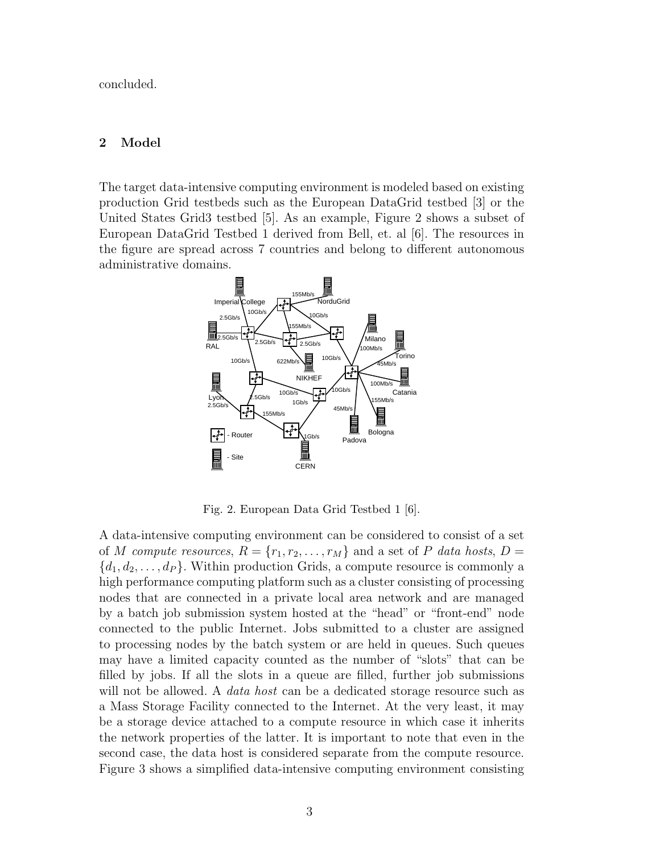concluded.

## 2 Model

The target data-intensive computing environment is modeled based on existing production Grid testbeds such as the European DataGrid testbed [3] or the United States Grid3 testbed [5]. As an example, Figure 2 shows a subset of European DataGrid Testbed 1 derived from Bell, et. al [6]. The resources in the figure are spread across 7 countries and belong to different autonomous administrative domains.



Fig. 2. European Data Grid Testbed 1 [6].

A data-intensive computing environment can be considered to consist of a set of M compute resources,  $R = \{r_1, r_2, \ldots, r_M\}$  and a set of P data hosts,  $D =$  ${d_1, d_2, \ldots, d_P}$ . Within production Grids, a compute resource is commonly a high performance computing platform such as a cluster consisting of processing nodes that are connected in a private local area network and are managed by a batch job submission system hosted at the "head" or "front-end" node connected to the public Internet. Jobs submitted to a cluster are assigned to processing nodes by the batch system or are held in queues. Such queues may have a limited capacity counted as the number of "slots" that can be filled by jobs. If all the slots in a queue are filled, further job submissions will not be allowed. A *data host* can be a dedicated storage resource such as a Mass Storage Facility connected to the Internet. At the very least, it may be a storage device attached to a compute resource in which case it inherits the network properties of the latter. It is important to note that even in the second case, the data host is considered separate from the compute resource. Figure 3 shows a simplified data-intensive computing environment consisting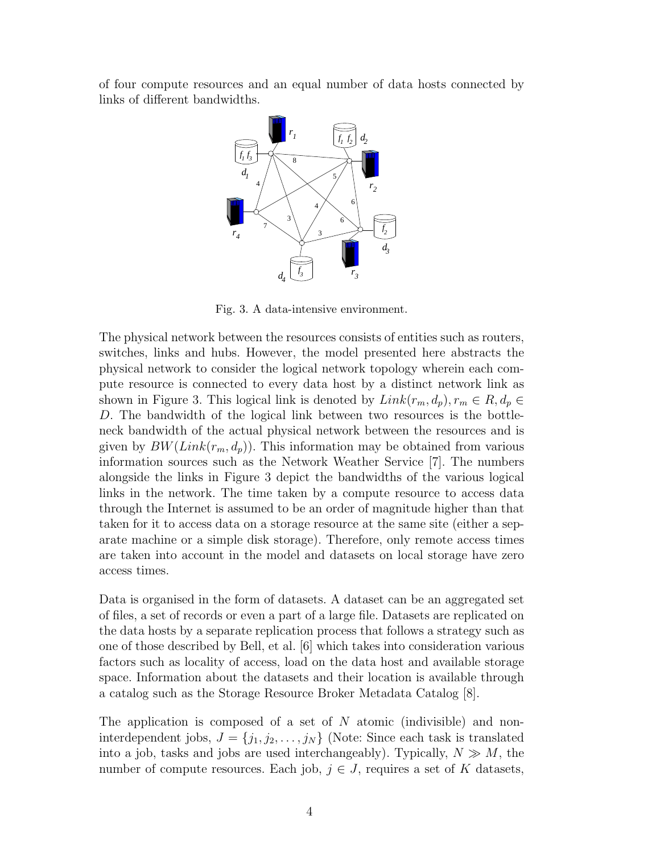of four compute resources and an equal number of data hosts connected by links of different bandwidths.



Fig. 3. A data-intensive environment.

The physical network between the resources consists of entities such as routers, switches, links and hubs. However, the model presented here abstracts the physical network to consider the logical network topology wherein each compute resource is connected to every data host by a distinct network link as shown in Figure 3. This logical link is denoted by  $Link(r_m, d_p), r_m \in R, d_p \in$ D. The bandwidth of the logical link between two resources is the bottleneck bandwidth of the actual physical network between the resources and is given by  $BW(Link(r_m, d_p))$ . This information may be obtained from various information sources such as the Network Weather Service [7]. The numbers alongside the links in Figure 3 depict the bandwidths of the various logical links in the network. The time taken by a compute resource to access data through the Internet is assumed to be an order of magnitude higher than that taken for it to access data on a storage resource at the same site (either a separate machine or a simple disk storage). Therefore, only remote access times are taken into account in the model and datasets on local storage have zero access times.

Data is organised in the form of datasets. A dataset can be an aggregated set of files, a set of records or even a part of a large file. Datasets are replicated on the data hosts by a separate replication process that follows a strategy such as one of those described by Bell, et al. [6] which takes into consideration various factors such as locality of access, load on the data host and available storage space. Information about the datasets and their location is available through a catalog such as the Storage Resource Broker Metadata Catalog [8].

The application is composed of a set of  $N$  atomic (indivisible) and noninterdependent jobs,  $J = \{j_1, j_2, \ldots, j_N\}$  (Note: Since each task is translated into a job, tasks and jobs are used interchangeably). Typically,  $N \gg M$ , the number of compute resources. Each job,  $j \in J$ , requires a set of K datasets,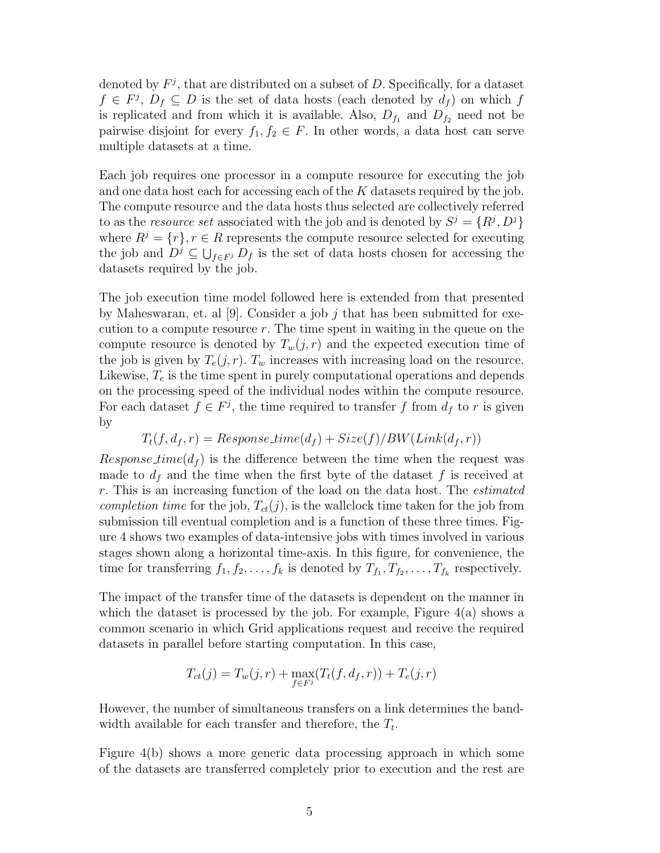denoted by  $F^j$ , that are distributed on a subset of D. Specifically, for a dataset  $f \in F^j$ ,  $D_f \subseteq D$  is the set of data hosts (each denoted by  $d_f$ ) on which f is replicated and from which it is available. Also,  $D_{f_1}$  and  $D_{f_2}$  need not be pairwise disjoint for every  $f_1, f_2 \in F$ . In other words, a data host can serve multiple datasets at a time.

Each job requires one processor in a compute resource for executing the job and one data host each for accessing each of the  $K$  datasets required by the job. The compute resource and the data hosts thus selected are collectively referred to as the *resource set* associated with the job and is denoted by  $S^j = \{R^j, D^j\}$ where  $R^j = \{r\}, r \in R$  represents the compute resource selected for executing the job and  $D^j \subseteq \bigcup_{f \in F^j} D_f$  is the set of data hosts chosen for accessing the datasets required by the job.

The job execution time model followed here is extended from that presented by Maheswaran, et. al [9]. Consider a job j that has been submitted for execution to a compute resource  $r$ . The time spent in waiting in the queue on the compute resource is denoted by  $T_w(j, r)$  and the expected execution time of the job is given by  $T_e(j, r)$ .  $T_w$  increases with increasing load on the resource. Likewise,  $T_e$  is the time spent in purely computational operations and depends on the processing speed of the individual nodes within the compute resource. For each dataset  $f \in F^j$ , the time required to transfer f from  $d_f$  to r is given by

$$
T_t(f, d_f, r) = Response_time(d_f) + Size(f)/BW(Link(d_f, r))
$$

Response time( $d_f$ ) is the difference between the time when the request was made to  $d_f$  and the time when the first byte of the dataset f is received at r. This is an increasing function of the load on the data host. The estimated completion time for the job,  $T_{ct}(j)$ , is the wallclock time taken for the job from submission till eventual completion and is a function of these three times. Figure 4 shows two examples of data-intensive jobs with times involved in various stages shown along a horizontal time-axis. In this figure, for convenience, the time for transferring  $f_1, f_2, \ldots, f_k$  is denoted by  $T_{f_1}, T_{f_2}, \ldots, T_{f_k}$  respectively.

The impact of the transfer time of the datasets is dependent on the manner in which the dataset is processed by the job. For example, Figure  $4(a)$  shows a common scenario in which Grid applications request and receive the required datasets in parallel before starting computation. In this case,

$$
T_{ct}(j) = T_w(j,r) + \max_{f \in F^j} (T_t(f,d_f,r)) + T_e(j,r)
$$

However, the number of simultaneous transfers on a link determines the bandwidth available for each transfer and therefore, the  $T_t$ .

Figure 4(b) shows a more generic data processing approach in which some of the datasets are transferred completely prior to execution and the rest are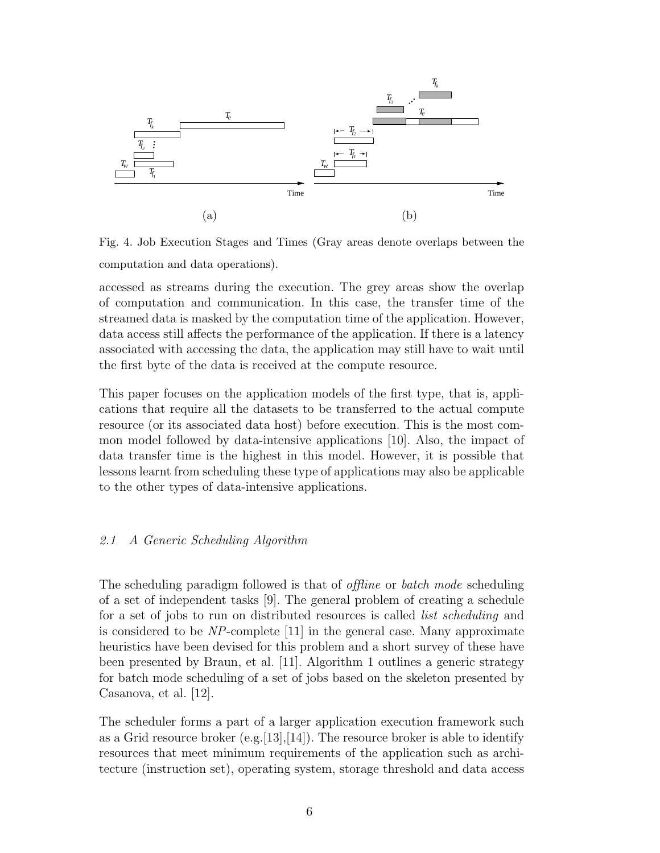

Fig. 4. Job Execution Stages and Times (Gray areas denote overlaps between the computation and data operations).

accessed as streams during the execution. The grey areas show the overlap of computation and communication. In this case, the transfer time of the streamed data is masked by the computation time of the application. However, data access still affects the performance of the application. If there is a latency associated with accessing the data, the application may still have to wait until the first byte of the data is received at the compute resource.

This paper focuses on the application models of the first type, that is, applications that require all the datasets to be transferred to the actual compute resource (or its associated data host) before execution. This is the most common model followed by data-intensive applications [10]. Also, the impact of data transfer time is the highest in this model. However, it is possible that lessons learnt from scheduling these type of applications may also be applicable to the other types of data-intensive applications.

## 2.1 A Generic Scheduling Algorithm

The scheduling paradigm followed is that of *offline* or *batch mode* scheduling of a set of independent tasks [9]. The general problem of creating a schedule for a set of jobs to run on distributed resources is called list scheduling and is considered to be NP-complete [11] in the general case. Many approximate heuristics have been devised for this problem and a short survey of these have been presented by Braun, et al. [11]. Algorithm 1 outlines a generic strategy for batch mode scheduling of a set of jobs based on the skeleton presented by Casanova, et al. [12].

The scheduler forms a part of a larger application execution framework such as a Grid resource broker  $(e.g. [13], [14])$ . The resource broker is able to identify resources that meet minimum requirements of the application such as architecture (instruction set), operating system, storage threshold and data access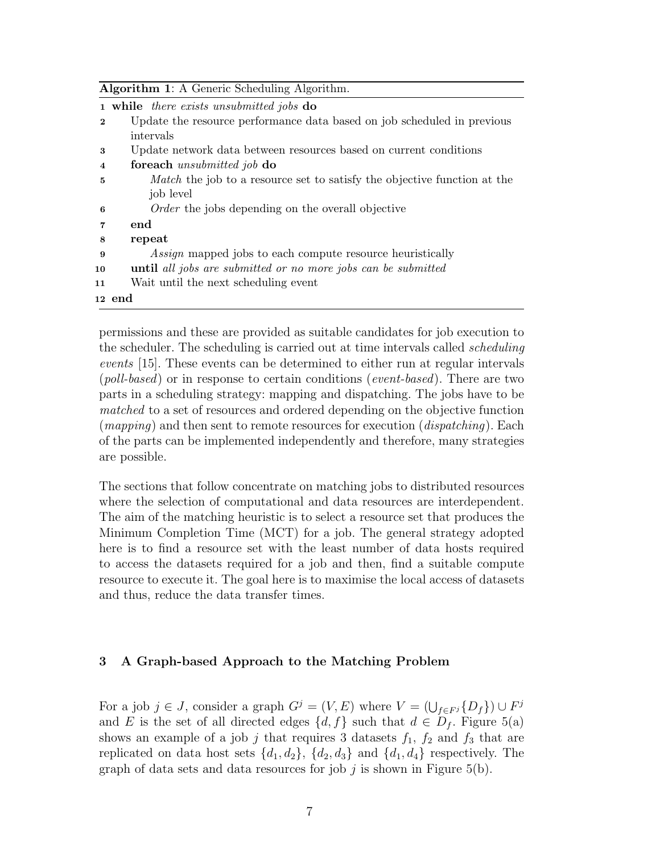| <b>Algorithm 1:</b> A Generic Scheduling Algorithm. |                                                                                 |  |
|-----------------------------------------------------|---------------------------------------------------------------------------------|--|
|                                                     | 1 while there exists unsubmitted jobs do                                        |  |
| $\bf{2}$                                            | Update the resource performance data based on job scheduled in previous         |  |
|                                                     | intervals                                                                       |  |
| 3                                                   | Update network data between resources based on current conditions               |  |
| $\overline{4}$                                      | foreach <i>unsubmitted</i> job do                                               |  |
| 5                                                   | <i>Match</i> the job to a resource set to satisfy the objective function at the |  |
|                                                     | job level                                                                       |  |
| 6                                                   | <i>Order</i> the jobs depending on the overall objective                        |  |
| $\overline{7}$                                      | end                                                                             |  |
| 8                                                   | repeat                                                                          |  |
| 9                                                   | <i>Assign</i> mapped jobs to each compute resource heuristically                |  |
| 10                                                  | <b>until</b> all jobs are submitted or no more jobs can be submitted            |  |
| 11                                                  | Wait until the next scheduling event                                            |  |
|                                                     | 12 end                                                                          |  |

permissions and these are provided as suitable candidates for job execution to the scheduler. The scheduling is carried out at time intervals called *scheduling* events [15]. These events can be determined to either run at regular intervals  $(poll-based)$  or in response to certain conditions  $(event-based)$ . There are two parts in a scheduling strategy: mapping and dispatching. The jobs have to be matched to a set of resources and ordered depending on the objective function  $(mapping)$  and then sent to remote resources for execution  $(dispatching)$ . Each of the parts can be implemented independently and therefore, many strategies are possible.

The sections that follow concentrate on matching jobs to distributed resources where the selection of computational and data resources are interdependent. The aim of the matching heuristic is to select a resource set that produces the Minimum Completion Time (MCT) for a job. The general strategy adopted here is to find a resource set with the least number of data hosts required to access the datasets required for a job and then, find a suitable compute resource to execute it. The goal here is to maximise the local access of datasets and thus, reduce the data transfer times.

## 3 A Graph-based Approach to the Matching Problem

For a job  $j \in J$ , consider a graph  $G^j = (V, E)$  where  $V = (\bigcup_{f \in F^j} \{D_f\}) \cup F^j$ and E is the set of all directed edges  $\{d, f\}$  such that  $d \in D_f$ . Figure 5(a) shows an example of a job j that requires 3 datasets  $f_1$ ,  $f_2$  and  $f_3$  that are replicated on data host sets  $\{d_1, d_2\}$ ,  $\{d_2, d_3\}$  and  $\{d_1, d_4\}$  respectively. The graph of data sets and data resources for job j is shown in Figure  $5(b)$ .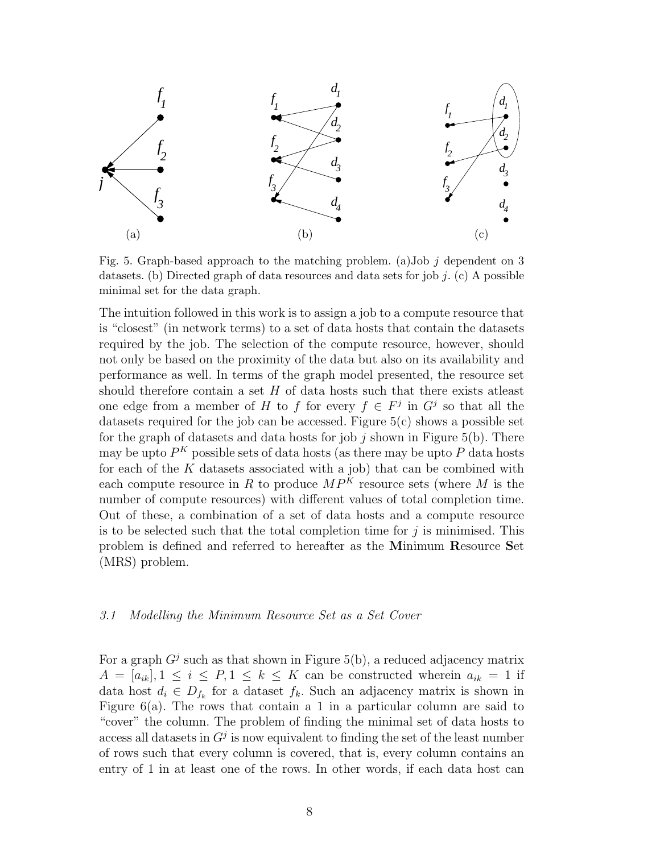

Fig. 5. Graph-based approach to the matching problem. (a)Job  $j$  dependent on 3 datasets. (b) Directed graph of data resources and data sets for job  $j$ . (c) A possible minimal set for the data graph.

The intuition followed in this work is to assign a job to a compute resource that is "closest" (in network terms) to a set of data hosts that contain the datasets required by the job. The selection of the compute resource, however, should not only be based on the proximity of the data but also on its availability and performance as well. In terms of the graph model presented, the resource set should therefore contain a set  $H$  of data hosts such that there exists at least one edge from a member of H to f for every  $f \in F^j$  in  $G^j$  so that all the datasets required for the job can be accessed. Figure  $5(c)$  shows a possible set for the graph of datasets and data hosts for job  $j$  shown in Figure 5(b). There may be upto  $P^K$  possible sets of data hosts (as there may be upto  $P$  data hosts for each of the  $K$  datasets associated with a job) that can be combined with each compute resource in R to produce  $MP<sup>K</sup>$  resource sets (where M is the number of compute resources) with different values of total completion time. Out of these, a combination of a set of data hosts and a compute resource is to be selected such that the total completion time for  $j$  is minimised. This problem is defined and referred to hereafter as the Minimum Resource Set (MRS) problem.

## 3.1 Modelling the Minimum Resource Set as a Set Cover

For a graph  $G^j$  such as that shown in Figure 5(b), a reduced adjacency matrix  $A = [a_{ik}], 1 \leq i \leq P, 1 \leq k \leq K$  can be constructed wherein  $a_{ik} = 1$  if data host  $d_i \in D_{f_k}$  for a dataset  $f_k$ . Such an adjacency matrix is shown in Figure  $6(a)$ . The rows that contain a 1 in a particular column are said to "cover" the column. The problem of finding the minimal set of data hosts to access all datasets in  $G<sup>j</sup>$  is now equivalent to finding the set of the least number of rows such that every column is covered, that is, every column contains an entry of 1 in at least one of the rows. In other words, if each data host can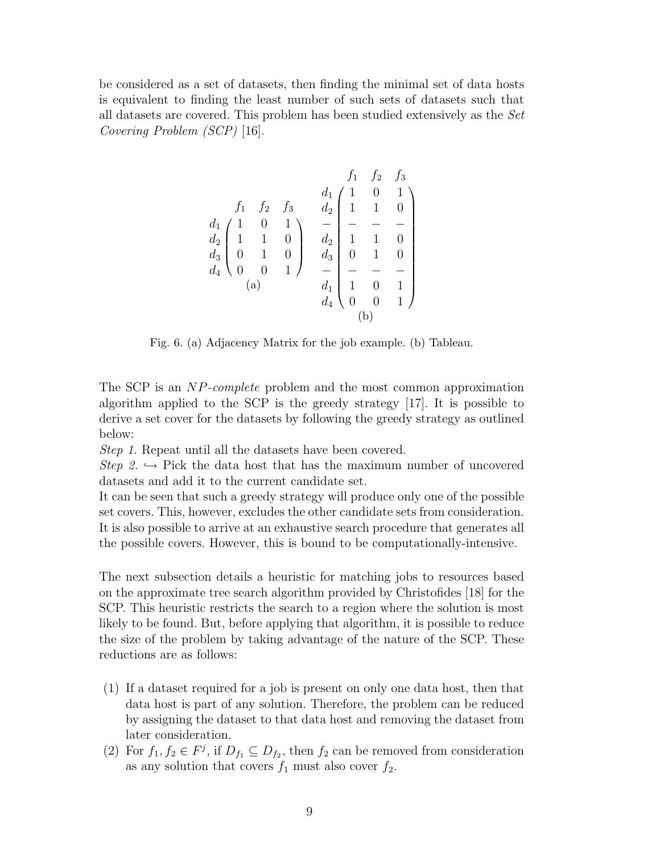be considered as a set of datasets, then finding the minimal set of data hosts is equivalent to finding the least number of such sets of datasets such that all datasets are covered. This problem has been studied extensively as the Set Covering Problem (SCP) [16].

$$
\begin{array}{cc}\n f_1 & f_2 & f_3 \\
 f_1 & f_2 & f_3 & d_2 \\
 d_1 & 1 & 0 & 1 \\
 d_2 & 1 & 1 & 0 \\
 d_3 & 0 & 1 & 0 \\
 d_4 & 0 & 0 & 1\n \end{array}\n \begin{array}{c}\n f_1 & f_2 & f_3 \\
 d_2 & 1 & 1 & 0 \\
 d_2 & 1 & 1 & 0 \\
 d_3 & 0 & 1 & 0 \\
 d_4 & 1 & 0 & 1 \\
 d_4 & 0 & 0 & 1\n \end{array}
$$

Fig. 6. (a) Adjacency Matrix for the job example. (b) Tableau.

The SCP is an NP-complete problem and the most common approximation algorithm applied to the SCP is the greedy strategy [17]. It is possible to derive a set cover for the datasets by following the greedy strategy as outlined below:

Step 1. Repeat until all the datasets have been covered.

Step 2.  $\rightarrow$  Pick the data host that has the maximum number of uncovered datasets and add it to the current candidate set.

It can be seen that such a greedy strategy will produce only one of the possible set covers. This, however, excludes the other candidate sets from consideration. It is also possible to arrive at an exhaustive search procedure that generates all the possible covers. However, this is bound to be computationally-intensive.

The next subsection details a heuristic for matching jobs to resources based on the approximate tree search algorithm provided by Christofides [18] for the SCP. This heuristic restricts the search to a region where the solution is most likely to be found. But, before applying that algorithm, it is possible to reduce the size of the problem by taking advantage of the nature of the SCP. These reductions are as follows:

- (1) If a dataset required for a job is present on only one data host, then that data host is part of any solution. Therefore, the problem can be reduced by assigning the dataset to that data host and removing the dataset from later consideration.
- (2) For  $f_1, f_2 \in F^j$ , if  $D_{f_1} \subseteq D_{f_2}$ , then  $f_2$  can be removed from consideration as any solution that covers  $f_1$  must also cover  $f_2$ .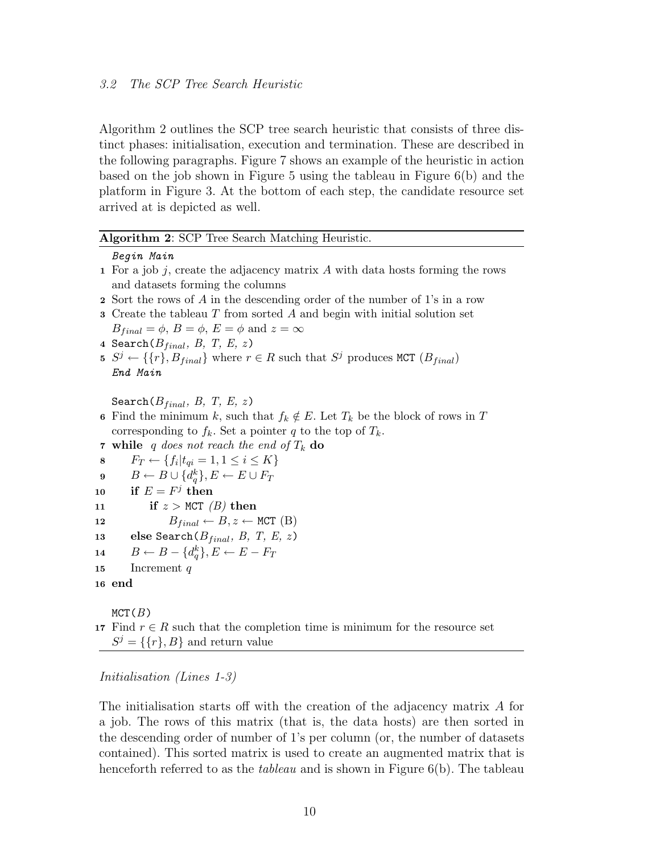Algorithm 2 outlines the SCP tree search heuristic that consists of three distinct phases: initialisation, execution and termination. These are described in the following paragraphs. Figure 7 shows an example of the heuristic in action based on the job shown in Figure 5 using the tableau in Figure  $6(b)$  and the platform in Figure 3. At the bottom of each step, the candidate resource set arrived at is depicted as well.

## Algorithm 2: SCP Tree Search Matching Heuristic.

## Begin Main

- 1 For a job j, create the adjacency matrix  $\tilde{A}$  with data hosts forming the rows and datasets forming the columns
- 2 Sort the rows of A in the descending order of the number of 1's in a row
- $3$  Create the tableau  $T$  from sorted  $A$  and begin with initial solution set  $B_{final} = \phi, B = \phi, E = \phi \text{ and } z = \infty$
- 4 Search $(B_{final}, B, T, E, z)$
- 5  $S^j \leftarrow {\{r\}, B_{final}}$  where  $r \in R$  such that  $S^j$  produces MCT  $(B_{final})$ End Main

Search $(B_{final}, B, T, E, z)$ 

- 6 Find the minimum k, such that  $f_k \notin E$ . Let  $T_k$  be the block of rows in T corresponding to  $f_k$ . Set a pointer q to the top of  $T_k$ .
- 7 while q does not reach the end of  $T_k$  do
- 8  $F_T \leftarrow \{f_i | t_{qi} = 1, 1 \leq i \leq K\}$
- $\mathfrak{g}\qquad B\leftarrow B\cup\{d^k_q\}, E\leftarrow E\cup F_T$
- 10 if  $E = F^j$  then

```
11 if z > MCT (B) then
```

```
12 B_{final} \leftarrow B, z \leftarrow \text{MCT (B)}
```
- 13 else Search $(B_{final}, B, T, E, z)$
- 14  $B \leftarrow B \{d_q^k\}, E \leftarrow E F_T$

```
15 Increment q
```

```
16 end
```
 $MCT(B)$ 

17 Find  $r \in R$  such that the completion time is minimum for the resource set  $S^j = \{\{r\}, B\}$  and return value

## Initialisation (Lines 1-3)

The initialisation starts off with the creation of the adjacency matrix A for a job. The rows of this matrix (that is, the data hosts) are then sorted in the descending order of number of 1's per column (or, the number of datasets contained). This sorted matrix is used to create an augmented matrix that is henceforth referred to as the *tableau* and is shown in Figure  $6(b)$ . The tableau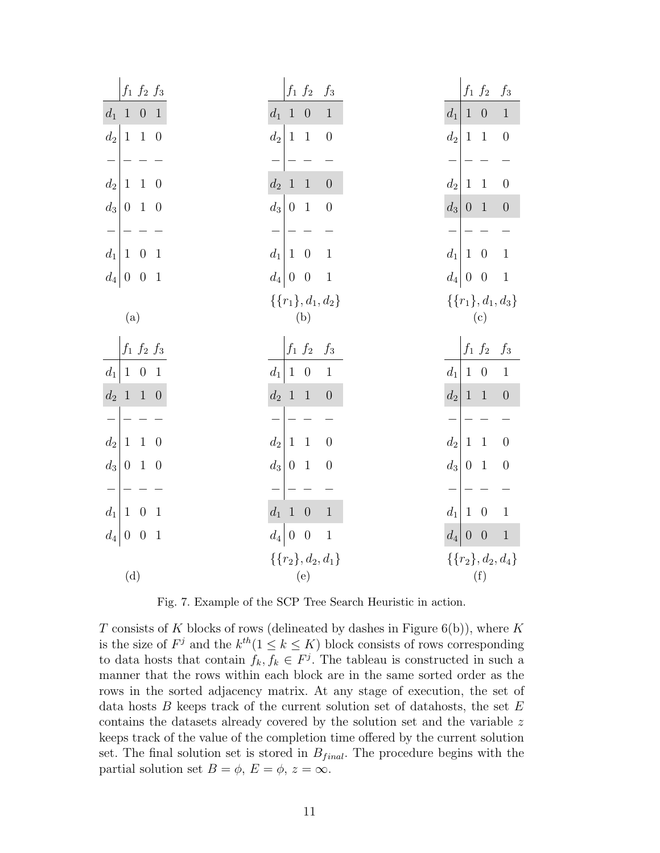| $f_1 \ f_2 \ f_3$                                               | $f_1\ f_2$<br>$f_3$                                                      | $f_1\ f_2$<br>$f_3$                                                               |
|-----------------------------------------------------------------|--------------------------------------------------------------------------|-----------------------------------------------------------------------------------|
| $d_1$<br>1<br>$0\quad1$                                         | $d_1$<br>$\boldsymbol{0}$<br>$\mathbf{1}$<br>$\mathbf{1}$                | $d_1$<br>$\boldsymbol{0}$<br>$\,1\,$<br>1                                         |
| $\mathfrak{d}_2$<br>$\,1\,$<br>$\,1\,$<br>$\overline{0}$        | $\mathfrak{d}_2$<br>$\,1\,$<br>$\boldsymbol{0}$<br>$\mathbf{1}$          | $\mathfrak{d}_2$<br>$\,1\,$<br>$\boldsymbol{0}$<br>$\,1$                          |
|                                                                 |                                                                          |                                                                                   |
| $d_2$<br>$1\,$<br>$\,1\,$<br>$\theta$                           | $\mathfrak{d}_2$<br>$1\,$<br>$\,1\,$<br>$\boldsymbol{0}$                 | $d_2$<br>$\,1\,$<br>$1\,$<br>$\boldsymbol{0}$                                     |
| $d_3$<br>$\boldsymbol{0}$<br>$\mathbf{1}$<br>$\overline{0}$     | $d_3$<br>$\mathbf{1}$<br>$\boldsymbol{0}$<br>$\overline{0}$              | $\left\lfloor d_3 \right\rfloor$<br>$0\quad 1$<br>$\boldsymbol{0}$                |
|                                                                 |                                                                          |                                                                                   |
| $\mathfrak{d}_1$<br>$\,1\,$<br>$\boldsymbol{0}$<br>$\mathbf{1}$ | $\mathfrak{d}_1$<br>$\,1\,$<br>$\mathbf{1}$<br>$\overline{0}$            | $d_1$<br>$\,1\,$<br>$\theta$<br>$\mathbf{1}$                                      |
| $d_4 0$<br>$\boldsymbol{0}$<br>$\mathbf{1}$                     | $\left d_4\right $<br>$\,1\,$<br>$\boldsymbol{0}$<br>$\boldsymbol{0}$    | $d_4 0$<br>$\,1$<br>$\theta$                                                      |
|                                                                 | $\{\{r_1\}, d_1, d_2\}$                                                  | $\{\{r_1\}, d_1, d_3\}$                                                           |
| (a)                                                             | (b)                                                                      | (c)                                                                               |
|                                                                 |                                                                          |                                                                                   |
| $f_1 \ f_2 \ f_3$                                               | $f_1\ f_2$<br>$f_\mathrm{3}$                                             | $f_1\ f_2$<br>$f_\mathrm{3}$                                                      |
| $d_1$<br>$\mathbf{1}$<br>$0\quad 1$                             | $d_1$<br>$\boldsymbol{0}$<br>$\,1\,$<br>$\mathbf{1}$                     | $d_1$<br>$\boldsymbol{0}$<br>$\,1$<br>$\,1\,$                                     |
| $1\,$<br>$d_2$<br>$1\quad 0$                                    | $\bar{d}_2$<br>$1\,$<br>$\,1\,$<br>$\boldsymbol{0}$                      | $\left\vert d_{2}\right\vert$<br>$\,1\,$<br>$\mathbf{1}$<br>$\boldsymbol{0}$      |
|                                                                 |                                                                          |                                                                                   |
| $d_2$<br>$\mathbf{1}$<br>$\,1\,$<br>$\boldsymbol{0}$            | $\mathfrak{d}_2$<br>$\,1\,$<br>$\mathbf{1}$<br>$\boldsymbol{0}$          | $\mathfrak{d}_2$<br>$\,1\,$<br>$1\,$<br>$\boldsymbol{0}$                          |
| $d_3$<br>$\boldsymbol{0}$<br>$\overline{1}$<br>$\overline{0}$   | $\mathfrak{d}_3$<br>$\boldsymbol{0}$<br>$\boldsymbol{0}$<br>$\mathbf{1}$ | $\left  d_3 \right $<br>$\boldsymbol{0}$<br>$\mathbf{1}$<br>$\boldsymbol{0}$      |
|                                                                 |                                                                          |                                                                                   |
| $\mathfrak{d}_1$<br>$\,1\,$<br>$\boldsymbol{0}$<br>$\mathbf{1}$ | $d_1$<br>$\,1$<br>$\,1\,$<br>$\boldsymbol{0}$                            | $d_1$<br>$\,1$<br>$\boldsymbol{0}$<br>$\,1\,$                                     |
| $d_4\vert$<br>$\theta$<br>$\boldsymbol{0}$<br>$\,1\,$           | $\,1$<br>$d_4$<br>$\boldsymbol{0}$<br>$\boldsymbol{0}$                   | $\,1$<br>$\left\lfloor d_4 \right\rfloor$<br>$\boldsymbol{0}$<br>$\boldsymbol{0}$ |
| (d)                                                             | $\{\{r_2\}, d_2, d_1\}$<br>(e)                                           | $\{\{r_2\}, d_2, d_4\}$<br>$\left( \mathrm{f}\right)$                             |

Fig. 7. Example of the SCP Tree Search Heuristic in action.

T consists of K blocks of rows (delineated by dashes in Figure  $6(b)$ ), where K is the size of  $F^j$  and the  $k^{th}(1 \leq k \leq K)$  block consists of rows corresponding to data hosts that contain  $f_k, f_k \in F^j$ . The tableau is constructed in such a manner that the rows within each block are in the same sorted order as the rows in the sorted adjacency matrix. At any stage of execution, the set of data hosts  $B$  keeps track of the current solution set of datahosts, the set  $E$ contains the datasets already covered by the solution set and the variable z keeps track of the value of the completion time offered by the current solution set. The final solution set is stored in  $B_{final}$ . The procedure begins with the partial solution set  $B = \phi$ ,  $E = \phi$ ,  $z = \infty$ .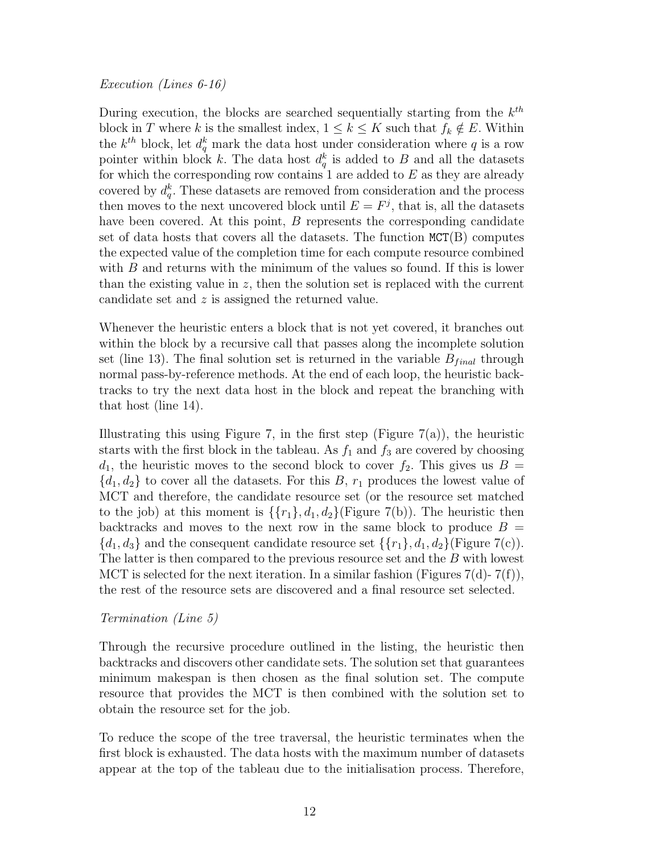During execution, the blocks are searched sequentially starting from the  $k^{th}$ block in T where k is the smallest index,  $1 \leq k \leq K$  such that  $f_k \notin E$ . Within the  $k^{th}$  block, let  $d_q^k$  mark the data host under consideration where q is a row pointer within block k. The data host  $d_q^k$  is added to B and all the datasets for which the corresponding row contains 1 are added to  $E$  as they are already covered by  $d_q^k$ . These datasets are removed from consideration and the process then moves to the next uncovered block until  $E = F<sup>j</sup>$ , that is, all the datasets have been covered. At this point, B represents the corresponding candidate set of data hosts that covers all the datasets. The function  $MCT(B)$  computes the expected value of the completion time for each compute resource combined with  $B$  and returns with the minimum of the values so found. If this is lower than the existing value in  $z$ , then the solution set is replaced with the current candidate set and z is assigned the returned value.

Whenever the heuristic enters a block that is not yet covered, it branches out within the block by a recursive call that passes along the incomplete solution set (line 13). The final solution set is returned in the variable  $B_{final}$  through normal pass-by-reference methods. At the end of each loop, the heuristic backtracks to try the next data host in the block and repeat the branching with that host (line 14).

Illustrating this using Figure 7, in the first step (Figure 7(a)), the heuristic starts with the first block in the tableau. As  $f_1$  and  $f_3$  are covered by choosing  $d_1$ , the heuristic moves to the second block to cover  $f_2$ . This gives us  $B =$  ${d_1, d_2}$  to cover all the datasets. For this B,  $r_1$  produces the lowest value of MCT and therefore, the candidate resource set (or the resource set matched to the job) at this moment is  $\{\{r_1\}, d_1, d_2\}$  (Figure 7(b)). The heuristic then backtracks and moves to the next row in the same block to produce  $B =$  ${d_1, d_3}$  and the consequent candidate resource set  ${r_1}, d_1, d_2$  (Figure 7(c)). The latter is then compared to the previous resource set and the B with lowest MCT is selected for the next iteration. In a similar fashion (Figures  $7(d)$ -  $7(f)$ ), the rest of the resource sets are discovered and a final resource set selected.

## Termination (Line 5)

Through the recursive procedure outlined in the listing, the heuristic then backtracks and discovers other candidate sets. The solution set that guarantees minimum makespan is then chosen as the final solution set. The compute resource that provides the MCT is then combined with the solution set to obtain the resource set for the job.

To reduce the scope of the tree traversal, the heuristic terminates when the first block is exhausted. The data hosts with the maximum number of datasets appear at the top of the tableau due to the initialisation process. Therefore,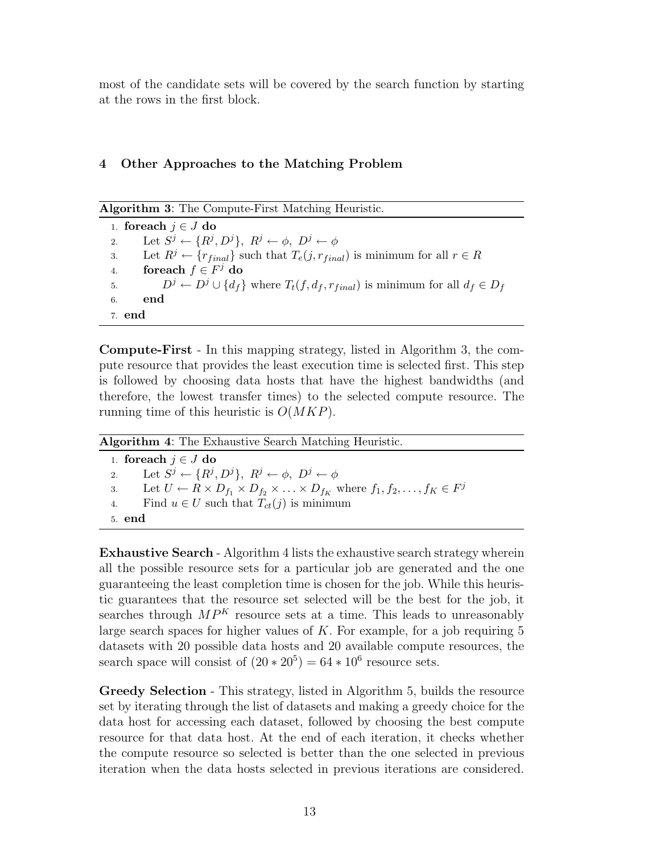most of the candidate sets will be covered by the search function by starting at the rows in the first block.

# 4 Other Approaches to the Matching Problem

Algorithm 3: The Compute-First Matching Heuristic.

1. for each  $j \in J$  do 2. Let  $S^j \leftarrow \{R^j, D^j\}, R^j \leftarrow \phi, D^j \leftarrow \phi$ 3. Let  $R^j \leftarrow \{r_{final}\}\$  such that  $T_e(j, r_{final})$  is minimum for all  $r \in R$ 4. for each  $f \in F^j$  do 5.  $D^j \leftarrow D^j \cup \{d_f\}$  where  $T_t(f, d_f, r_{final})$  is minimum for all  $d_f \in D_f$ 6. end 7. end

Compute-First - In this mapping strategy, listed in Algorithm 3, the compute resource that provides the least execution time is selected first. This step is followed by choosing data hosts that have the highest bandwidths (and therefore, the lowest transfer times) to the selected compute resource. The running time of this heuristic is  $O(MKP)$ .

| <b>Algorithm 4:</b> The Exhaustive Search Matching Heuristic. |                                                                                                                                 |  |
|---------------------------------------------------------------|---------------------------------------------------------------------------------------------------------------------------------|--|
|                                                               | 1. for each $j \in J$ do                                                                                                        |  |
| 2.                                                            | Let $S^j \leftarrow \{R^j, D^j\}, R^j \leftarrow \phi, D^j \leftarrow \phi$                                                     |  |
|                                                               | 3. Let $U \leftarrow R \times D_{f_1} \times D_{f_2} \times \ldots \times D_{f_K}$ where $f_1, f_2, \ldots, f_K \in F^{\jmath}$ |  |
| 4.                                                            | Find $u \in U$ such that $T_{ct}(j)$ is minimum                                                                                 |  |
| 5. end                                                        |                                                                                                                                 |  |

Exhaustive Search - Algorithm 4 lists the exhaustive search strategy wherein all the possible resource sets for a particular job are generated and the one guaranteeing the least completion time is chosen for the job. While this heuristic guarantees that the resource set selected will be the best for the job, it searches through  $MP<sup>K</sup>$  resource sets at a time. This leads to unreasonably large search spaces for higher values of  $K$ . For example, for a job requiring 5 datasets with 20 possible data hosts and 20 available compute resources, the search space will consist of  $(20 * 20^5) = 64 * 10^6$  resource sets.

Greedy Selection - This strategy, listed in Algorithm 5, builds the resource set by iterating through the list of datasets and making a greedy choice for the data host for accessing each dataset, followed by choosing the best compute resource for that data host. At the end of each iteration, it checks whether the compute resource so selected is better than the one selected in previous iteration when the data hosts selected in previous iterations are considered.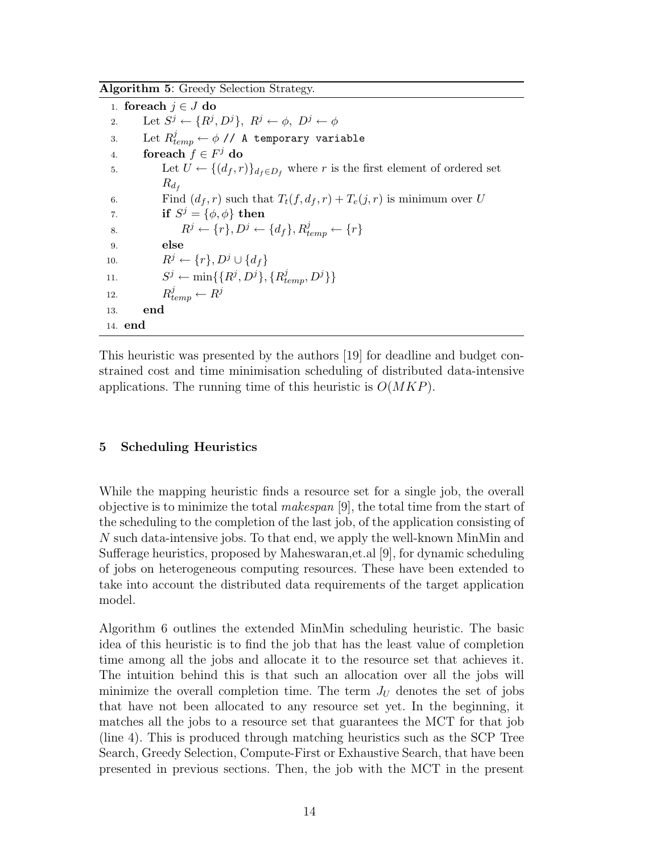Algorithm 5: Greedy Selection Strategy.

1. foreach  $j \in J$  do 2. Let  $S^j \leftarrow \{R^j, D^j\}, R^j \leftarrow \phi, D^j \leftarrow \phi$ 3. Let  $R_{temp}^j \leftarrow \phi$  // A temporary variable 4. for each  $f \in F^j$  do 5. Let  $U \leftarrow \{(d_f, r)\}_{d_f \in D_f}$  where r is the first element of ordered set  $R_{d_f}$ 6. Find  $(d_f, r)$  such that  $T_t(f, d_f, r) + T_e(j, r)$  is minimum over U 7. if  $S^j = {\phi, \phi}$  then 8.  $R^j \leftarrow \{r\}, D^j \leftarrow \{d_f\}, R_{temp}^j \leftarrow \{r\}$ 9. else 10.  $R^j \leftarrow \{r\}, D^j \cup \{d_f\}$ 11.  $S^j \leftarrow \min\{\{R^j, D^j\}, \{R^j_{temp}, D^j\}\}\$  $R_{temp}^j \leftarrow R^j$ 12. 13. end 14. end

This heuristic was presented by the authors [19] for deadline and budget constrained cost and time minimisation scheduling of distributed data-intensive applications. The running time of this heuristic is  $O(MKP)$ .

# 5 Scheduling Heuristics

While the mapping heuristic finds a resource set for a single job, the overall objective is to minimize the total *makespan* [9], the total time from the start of the scheduling to the completion of the last job, of the application consisting of N such data-intensive jobs. To that end, we apply the well-known MinMin and Sufferage heuristics, proposed by Maheswaran,et.al [9], for dynamic scheduling of jobs on heterogeneous computing resources. These have been extended to take into account the distributed data requirements of the target application model.

Algorithm 6 outlines the extended MinMin scheduling heuristic. The basic idea of this heuristic is to find the job that has the least value of completion time among all the jobs and allocate it to the resource set that achieves it. The intuition behind this is that such an allocation over all the jobs will minimize the overall completion time. The term  $J_U$  denotes the set of jobs that have not been allocated to any resource set yet. In the beginning, it matches all the jobs to a resource set that guarantees the MCT for that job (line 4). This is produced through matching heuristics such as the SCP Tree Search, Greedy Selection, Compute-First or Exhaustive Search, that have been presented in previous sections. Then, the job with the MCT in the present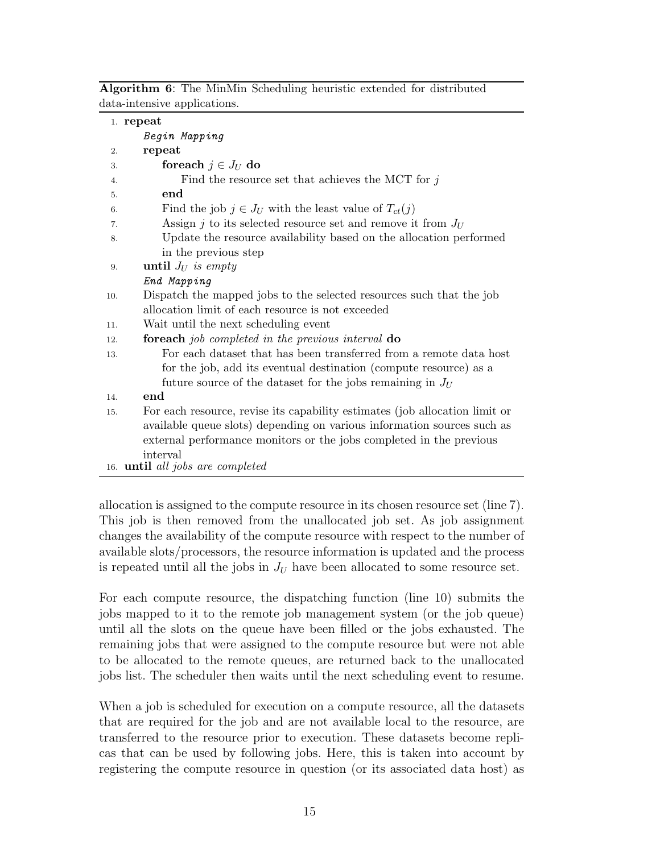Algorithm 6: The MinMin Scheduling heuristic extended for distributed data-intensive applications.

|     | 1. repeat                                                                   |
|-----|-----------------------------------------------------------------------------|
|     | Begin Mapping                                                               |
| 2.  | repeat                                                                      |
| 3.  | foreach $j \in J_U$ do                                                      |
| 4.  | Find the resource set that achieves the MCT for $j$                         |
| 5.  | end                                                                         |
| 6.  | Find the job $j \in J_U$ with the least value of $T_{ct}(j)$                |
| 7.  | Assign j to its selected resource set and remove it from $J_U$              |
| 8.  | Update the resource availability based on the allocation performed          |
|     | in the previous step                                                        |
| 9.  | until $J_U$ is empty                                                        |
|     | End Mapping                                                                 |
| 10. | Dispatch the mapped jobs to the selected resources such that the job        |
|     | allocation limit of each resource is not exceeded                           |
| 11. | Wait until the next scheduling event                                        |
| 12. | <b>foreach</b> job completed in the previous interval <b>do</b>             |
| 13. | For each dataset that has been transferred from a remote data host          |
|     | for the job, add its eventual destination (compute resource) as a           |
|     | future source of the dataset for the jobs remaining in $J_U$                |
| 14. | end                                                                         |
| 15. | For each resource, revise its capability estimates (job allocation limit or |
|     | available queue slots) depending on various information sources such as     |
|     | external performance monitors or the jobs completed in the previous         |
|     | interval                                                                    |
|     | 16. <b>until</b> all jobs are completed                                     |

allocation is assigned to the compute resource in its chosen resource set (line 7). This job is then removed from the unallocated job set. As job assignment changes the availability of the compute resource with respect to the number of available slots/processors, the resource information is updated and the process is repeated until all the jobs in  $J_U$  have been allocated to some resource set.

For each compute resource, the dispatching function (line 10) submits the jobs mapped to it to the remote job management system (or the job queue) until all the slots on the queue have been filled or the jobs exhausted. The remaining jobs that were assigned to the compute resource but were not able to be allocated to the remote queues, are returned back to the unallocated jobs list. The scheduler then waits until the next scheduling event to resume.

When a job is scheduled for execution on a compute resource, all the datasets that are required for the job and are not available local to the resource, are transferred to the resource prior to execution. These datasets become replicas that can be used by following jobs. Here, this is taken into account by registering the compute resource in question (or its associated data host) as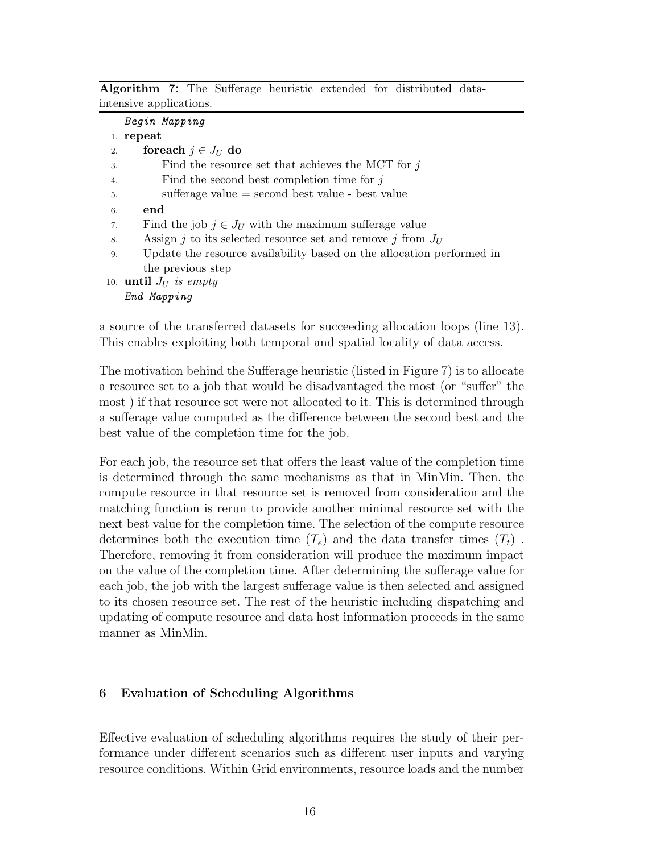Algorithm 7: The Sufferage heuristic extended for distributed dataintensive applications.

|    | Begin Mapping                                                         |
|----|-----------------------------------------------------------------------|
|    | 1. repeat                                                             |
| 2. | foreach $j \in J_U$ do                                                |
| 3. | Find the resource set that achieves the MCT for $j$                   |
| 4. | Find the second best completion time for $j$                          |
| 5. | sufferage value $=$ second best value - best value                    |
| 6. | end                                                                   |
| 7. | Find the job $j \in J_U$ with the maximum sufferage value             |
| 8. | Assign j to its selected resource set and remove j from $J_U$         |
| 9. | Update the resource availability based on the allocation performed in |
|    | the previous step                                                     |
|    | 10. <b>until</b> $J_U$ is empty                                       |
|    | End Mapping                                                           |

a source of the transferred datasets for succeeding allocation loops (line 13). This enables exploiting both temporal and spatial locality of data access.

The motivation behind the Sufferage heuristic (listed in Figure 7) is to allocate a resource set to a job that would be disadvantaged the most (or "suffer" the most ) if that resource set were not allocated to it. This is determined through a sufferage value computed as the difference between the second best and the best value of the completion time for the job.

For each job, the resource set that offers the least value of the completion time is determined through the same mechanisms as that in MinMin. Then, the compute resource in that resource set is removed from consideration and the matching function is rerun to provide another minimal resource set with the next best value for the completion time. The selection of the compute resource determines both the execution time  $(T_e)$  and the data transfer times  $(T_t)$ . Therefore, removing it from consideration will produce the maximum impact on the value of the completion time. After determining the sufferage value for each job, the job with the largest sufferage value is then selected and assigned to its chosen resource set. The rest of the heuristic including dispatching and updating of compute resource and data host information proceeds in the same manner as MinMin.

# 6 Evaluation of Scheduling Algorithms

Effective evaluation of scheduling algorithms requires the study of their performance under different scenarios such as different user inputs and varying resource conditions. Within Grid environments, resource loads and the number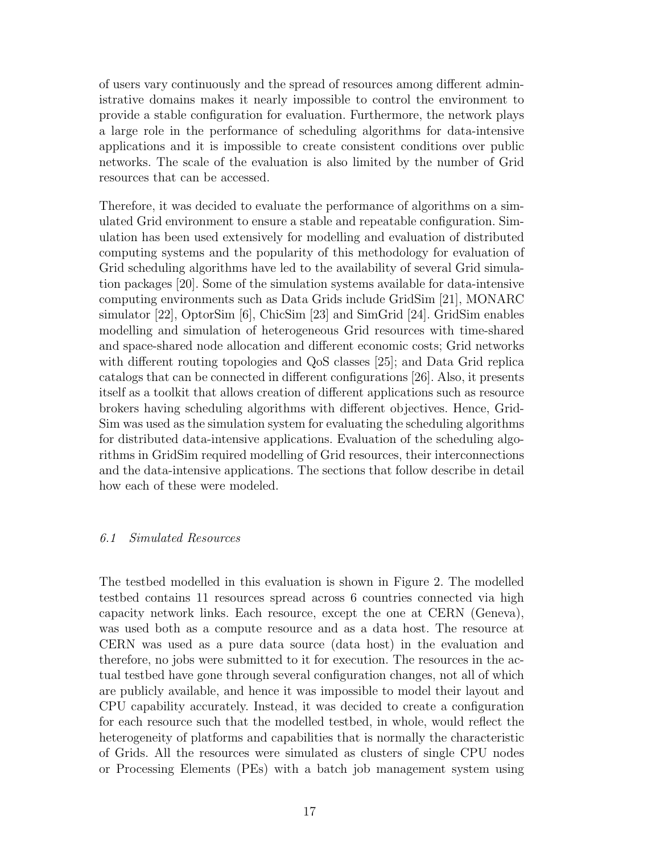of users vary continuously and the spread of resources among different administrative domains makes it nearly impossible to control the environment to provide a stable configuration for evaluation. Furthermore, the network plays a large role in the performance of scheduling algorithms for data-intensive applications and it is impossible to create consistent conditions over public networks. The scale of the evaluation is also limited by the number of Grid resources that can be accessed.

Therefore, it was decided to evaluate the performance of algorithms on a simulated Grid environment to ensure a stable and repeatable configuration. Simulation has been used extensively for modelling and evaluation of distributed computing systems and the popularity of this methodology for evaluation of Grid scheduling algorithms have led to the availability of several Grid simulation packages [20]. Some of the simulation systems available for data-intensive computing environments such as Data Grids include GridSim [21], MONARC simulator [22], OptorSim [6], ChicSim [23] and SimGrid [24]. GridSim enables modelling and simulation of heterogeneous Grid resources with time-shared and space-shared node allocation and different economic costs; Grid networks with different routing topologies and QoS classes [25]; and Data Grid replica catalogs that can be connected in different configurations [26]. Also, it presents itself as a toolkit that allows creation of different applications such as resource brokers having scheduling algorithms with different objectives. Hence, Grid-Sim was used as the simulation system for evaluating the scheduling algorithms for distributed data-intensive applications. Evaluation of the scheduling algorithms in GridSim required modelling of Grid resources, their interconnections and the data-intensive applications. The sections that follow describe in detail how each of these were modeled.

## 6.1 Simulated Resources

The testbed modelled in this evaluation is shown in Figure 2. The modelled testbed contains 11 resources spread across 6 countries connected via high capacity network links. Each resource, except the one at CERN (Geneva), was used both as a compute resource and as a data host. The resource at CERN was used as a pure data source (data host) in the evaluation and therefore, no jobs were submitted to it for execution. The resources in the actual testbed have gone through several configuration changes, not all of which are publicly available, and hence it was impossible to model their layout and CPU capability accurately. Instead, it was decided to create a configuration for each resource such that the modelled testbed, in whole, would reflect the heterogeneity of platforms and capabilities that is normally the characteristic of Grids. All the resources were simulated as clusters of single CPU nodes or Processing Elements (PEs) with a batch job management system using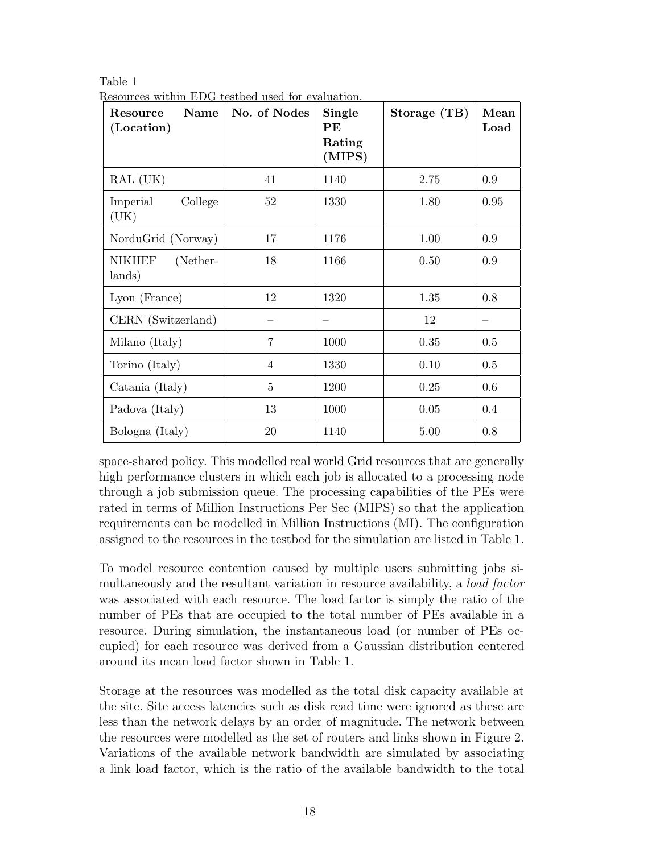| <b>Name</b><br>Resource<br>(Location) | No. of Nodes   | Single<br>$\bf{PE}$<br>Rating<br>(MIPS) | Storage (TB) | Mean<br>Load |
|---------------------------------------|----------------|-----------------------------------------|--------------|--------------|
| RAL (UK)                              | 41             | 1140                                    | 2.75         | 0.9          |
| College<br>Imperial<br>(UK)           | 52             | 1330                                    | 1.80         | 0.95         |
| NorduGrid (Norway)                    | 17             | 1176                                    | 1.00         | 0.9          |
| (Nether-<br><b>NIKHEF</b><br>lands)   | 18             | 1166                                    | 0.50         | 0.9          |
| Lyon (France)                         | 12             | 1320                                    | 1.35         | 0.8          |
| CERN (Switzerland)                    |                |                                         | 12           |              |
| Milano (Italy)                        | $\overline{7}$ | 1000                                    | 0.35         | 0.5          |
| Torino (Italy)                        | $\overline{4}$ | 1330                                    | 0.10         | 0.5          |
| Catania (Italy)                       | 5              | 1200                                    | 0.25         | 0.6          |
| Padova (Italy)                        | 13             | 1000                                    | 0.05         | $0.4\,$      |
| Bologna (Italy)                       | 20             | 1140                                    | 5.00         | 0.8          |

Table 1 Resources within EDG testbed used for evaluation.

space-shared policy. This modelled real world Grid resources that are generally high performance clusters in which each job is allocated to a processing node through a job submission queue. The processing capabilities of the PEs were rated in terms of Million Instructions Per Sec (MIPS) so that the application requirements can be modelled in Million Instructions (MI). The configuration assigned to the resources in the testbed for the simulation are listed in Table 1.

To model resource contention caused by multiple users submitting jobs simultaneously and the resultant variation in resource availability, a *load factor* was associated with each resource. The load factor is simply the ratio of the number of PEs that are occupied to the total number of PEs available in a resource. During simulation, the instantaneous load (or number of PEs occupied) for each resource was derived from a Gaussian distribution centered around its mean load factor shown in Table 1.

Storage at the resources was modelled as the total disk capacity available at the site. Site access latencies such as disk read time were ignored as these are less than the network delays by an order of magnitude. The network between the resources were modelled as the set of routers and links shown in Figure 2. Variations of the available network bandwidth are simulated by associating a link load factor, which is the ratio of the available bandwidth to the total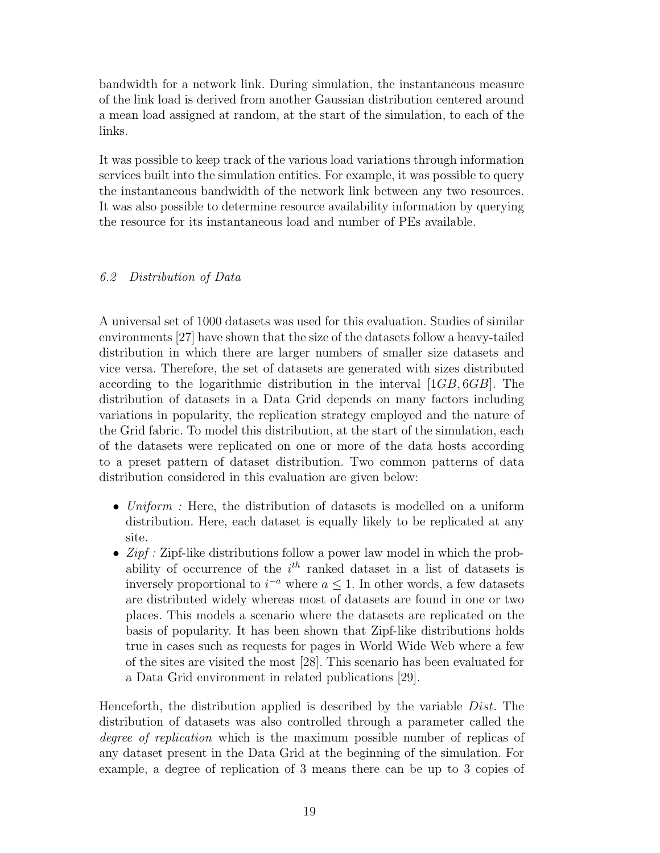bandwidth for a network link. During simulation, the instantaneous measure of the link load is derived from another Gaussian distribution centered around a mean load assigned at random, at the start of the simulation, to each of the links.

It was possible to keep track of the various load variations through information services built into the simulation entities. For example, it was possible to query the instantaneous bandwidth of the network link between any two resources. It was also possible to determine resource availability information by querying the resource for its instantaneous load and number of PEs available.

# 6.2 Distribution of Data

A universal set of 1000 datasets was used for this evaluation. Studies of similar environments [27] have shown that the size of the datasets follow a heavy-tailed distribution in which there are larger numbers of smaller size datasets and vice versa. Therefore, the set of datasets are generated with sizes distributed according to the logarithmic distribution in the interval [1GB, 6GB]. The distribution of datasets in a Data Grid depends on many factors including variations in popularity, the replication strategy employed and the nature of the Grid fabric. To model this distribution, at the start of the simulation, each of the datasets were replicated on one or more of the data hosts according to a preset pattern of dataset distribution. Two common patterns of data distribution considered in this evaluation are given below:

- Uniform : Here, the distribution of datasets is modelled on a uniform distribution. Here, each dataset is equally likely to be replicated at any site.
- $Zipf: Zipf-like distributions follow a power law model in which the probability function is given by:\n $\begin{bmatrix}\n\frac{1}{2} & \frac{1}{2} \\
\frac{1}{2} & \frac{1}{2} \\
\frac{1}{2} & \frac{1}{2}\n\end{bmatrix}$$ ability of occurrence of the  $i<sup>th</sup>$  ranked dataset in a list of datasets is inversely proportional to  $i^{-a}$  where  $a \leq 1$ . In other words, a few datasets are distributed widely whereas most of datasets are found in one or two places. This models a scenario where the datasets are replicated on the basis of popularity. It has been shown that Zipf-like distributions holds true in cases such as requests for pages in World Wide Web where a few of the sites are visited the most [28]. This scenario has been evaluated for a Data Grid environment in related publications [29].

Henceforth, the distribution applied is described by the variable Dist. The distribution of datasets was also controlled through a parameter called the degree of replication which is the maximum possible number of replicas of any dataset present in the Data Grid at the beginning of the simulation. For example, a degree of replication of 3 means there can be up to 3 copies of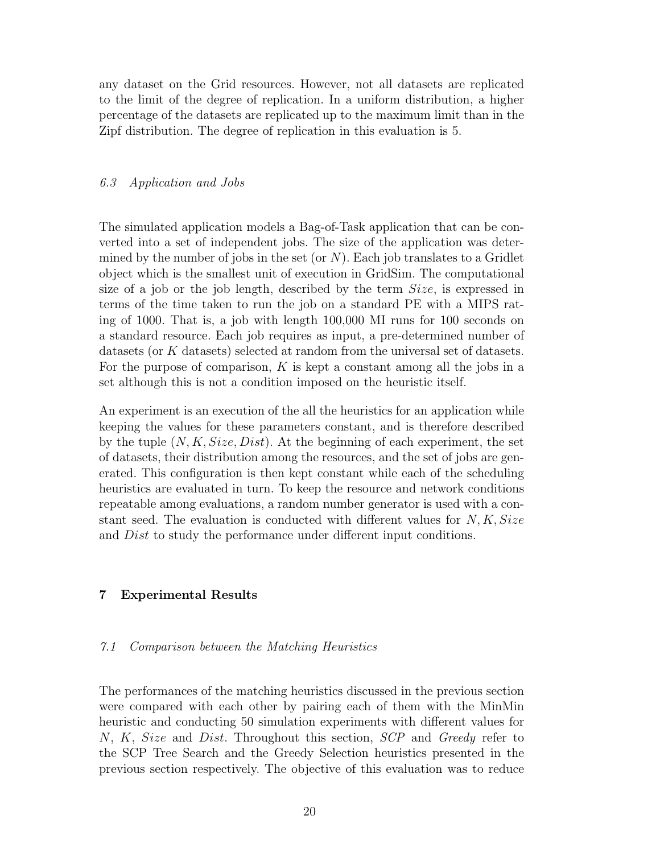any dataset on the Grid resources. However, not all datasets are replicated to the limit of the degree of replication. In a uniform distribution, a higher percentage of the datasets are replicated up to the maximum limit than in the Zipf distribution. The degree of replication in this evaluation is 5.

## 6.3 Application and Jobs

The simulated application models a Bag-of-Task application that can be converted into a set of independent jobs. The size of the application was determined by the number of jobs in the set (or  $N$ ). Each job translates to a Gridlet object which is the smallest unit of execution in GridSim. The computational size of a job or the job length, described by the term  $Size$ , is expressed in terms of the time taken to run the job on a standard PE with a MIPS rating of 1000. That is, a job with length 100,000 MI runs for 100 seconds on a standard resource. Each job requires as input, a pre-determined number of datasets (or K datasets) selected at random from the universal set of datasets. For the purpose of comparison,  $K$  is kept a constant among all the jobs in a set although this is not a condition imposed on the heuristic itself.

An experiment is an execution of the all the heuristics for an application while keeping the values for these parameters constant, and is therefore described by the tuple  $(N, K, Size, Dist)$ . At the beginning of each experiment, the set of datasets, their distribution among the resources, and the set of jobs are generated. This configuration is then kept constant while each of the scheduling heuristics are evaluated in turn. To keep the resource and network conditions repeatable among evaluations, a random number generator is used with a constant seed. The evaluation is conducted with different values for  $N, K, Size$ and Dist to study the performance under different input conditions.

## 7 Experimental Results

#### 7.1 Comparison between the Matching Heuristics

The performances of the matching heuristics discussed in the previous section were compared with each other by pairing each of them with the MinMin heuristic and conducting 50 simulation experiments with different values for N, K, Size and Dist. Throughout this section, SCP and Greedy refer to the SCP Tree Search and the Greedy Selection heuristics presented in the previous section respectively. The objective of this evaluation was to reduce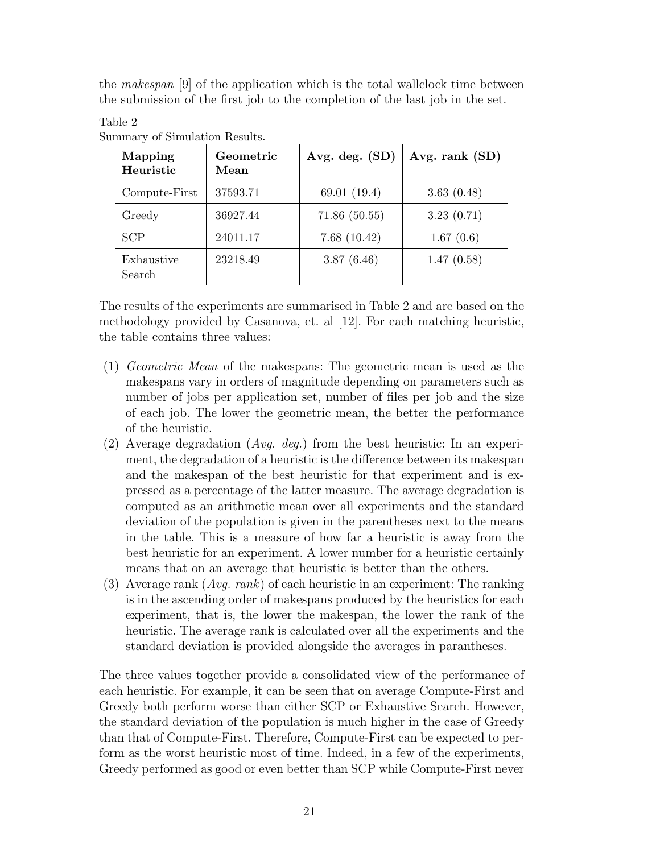the makespan [9] of the application which is the total wallclock time between the submission of the first job to the completion of the last job in the set.

## Mapping Heuristic Geometric Mean Avg. deg.  $(SD) | Avg.$  rank  $(SD)$ Compute-First || 37593.71 (69.01 (19.4) | 3.63 (0.48) Greedy  $\parallel$  36927.44  $\parallel$  71.86 (50.55)  $\parallel$  3.23 (0.71) SCP  $\parallel$  24011.17  $\parallel$  7.68 (10.42)  $\parallel$  1.67 (0.6) Exhaustive Search 23218.49 3.87 (6.46) 1.47 (0.58)

Summary of Simulation Results.

Table 2

The results of the experiments are summarised in Table 2 and are based on the methodology provided by Casanova, et. al [12]. For each matching heuristic, the table contains three values:

- (1) Geometric Mean of the makespans: The geometric mean is used as the makespans vary in orders of magnitude depending on parameters such as number of jobs per application set, number of files per job and the size of each job. The lower the geometric mean, the better the performance of the heuristic.
- (2) Average degradation (Avg. deg.) from the best heuristic: In an experiment, the degradation of a heuristic is the difference between its makespan and the makespan of the best heuristic for that experiment and is expressed as a percentage of the latter measure. The average degradation is computed as an arithmetic mean over all experiments and the standard deviation of the population is given in the parentheses next to the means in the table. This is a measure of how far a heuristic is away from the best heuristic for an experiment. A lower number for a heuristic certainly means that on an average that heuristic is better than the others.
- (3) Average rank  $(Avg. rank)$  of each heuristic in an experiment: The ranking is in the ascending order of makespans produced by the heuristics for each experiment, that is, the lower the makespan, the lower the rank of the heuristic. The average rank is calculated over all the experiments and the standard deviation is provided alongside the averages in parantheses.

The three values together provide a consolidated view of the performance of each heuristic. For example, it can be seen that on average Compute-First and Greedy both perform worse than either SCP or Exhaustive Search. However, the standard deviation of the population is much higher in the case of Greedy than that of Compute-First. Therefore, Compute-First can be expected to perform as the worst heuristic most of time. Indeed, in a few of the experiments, Greedy performed as good or even better than SCP while Compute-First never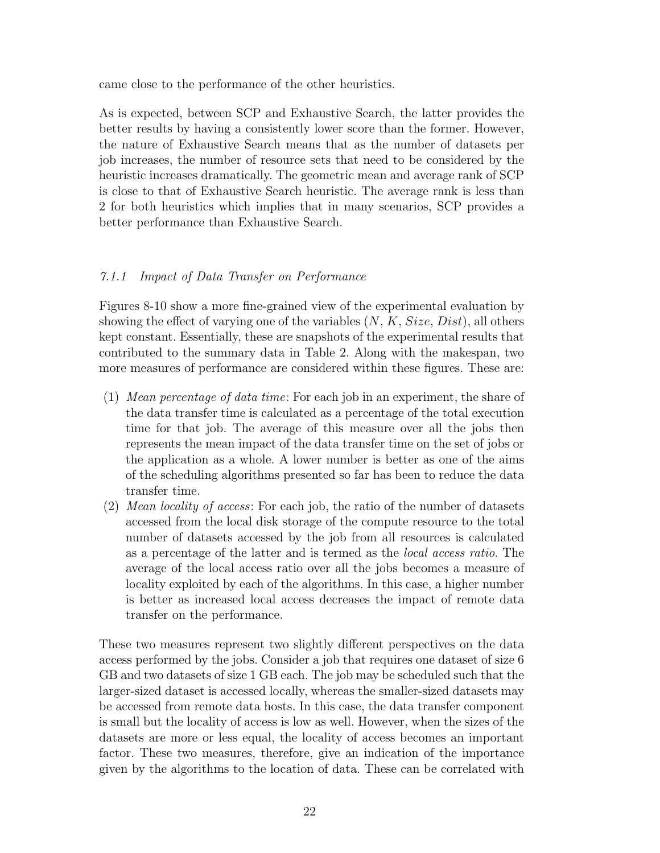came close to the performance of the other heuristics.

As is expected, between SCP and Exhaustive Search, the latter provides the better results by having a consistently lower score than the former. However, the nature of Exhaustive Search means that as the number of datasets per job increases, the number of resource sets that need to be considered by the heuristic increases dramatically. The geometric mean and average rank of SCP is close to that of Exhaustive Search heuristic. The average rank is less than 2 for both heuristics which implies that in many scenarios, SCP provides a better performance than Exhaustive Search.

## 7.1.1 Impact of Data Transfer on Performance

Figures 8-10 show a more fine-grained view of the experimental evaluation by showing the effect of varying one of the variables  $(N, K, Size, Dist)$ , all others kept constant. Essentially, these are snapshots of the experimental results that contributed to the summary data in Table 2. Along with the makespan, two more measures of performance are considered within these figures. These are:

- (1) Mean percentage of data time: For each job in an experiment, the share of the data transfer time is calculated as a percentage of the total execution time for that job. The average of this measure over all the jobs then represents the mean impact of the data transfer time on the set of jobs or the application as a whole. A lower number is better as one of the aims of the scheduling algorithms presented so far has been to reduce the data transfer time.
- (2) Mean locality of access: For each job, the ratio of the number of datasets accessed from the local disk storage of the compute resource to the total number of datasets accessed by the job from all resources is calculated as a percentage of the latter and is termed as the local access ratio. The average of the local access ratio over all the jobs becomes a measure of locality exploited by each of the algorithms. In this case, a higher number is better as increased local access decreases the impact of remote data transfer on the performance.

These two measures represent two slightly different perspectives on the data access performed by the jobs. Consider a job that requires one dataset of size 6 GB and two datasets of size 1 GB each. The job may be scheduled such that the larger-sized dataset is accessed locally, whereas the smaller-sized datasets may be accessed from remote data hosts. In this case, the data transfer component is small but the locality of access is low as well. However, when the sizes of the datasets are more or less equal, the locality of access becomes an important factor. These two measures, therefore, give an indication of the importance given by the algorithms to the location of data. These can be correlated with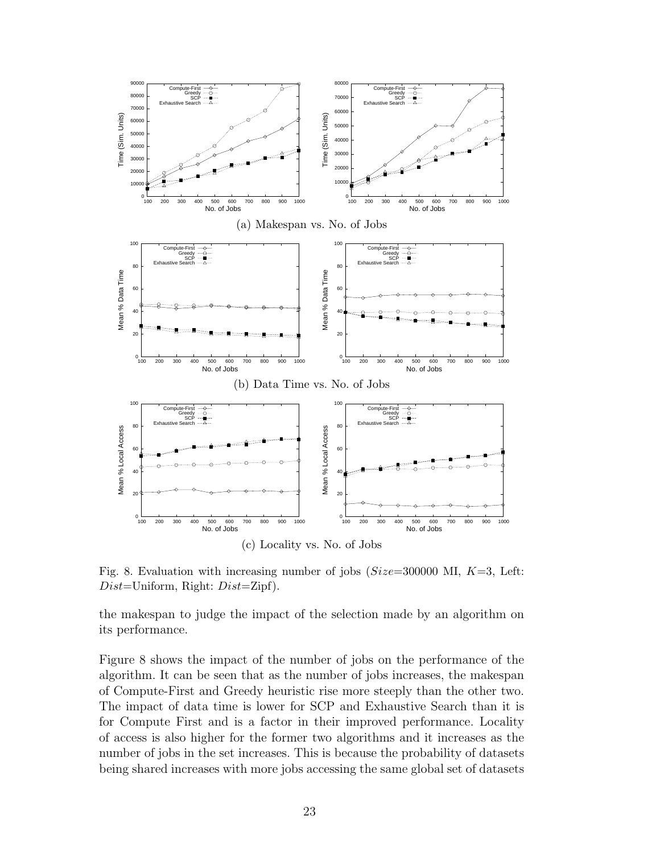

Fig. 8. Evaluation with increasing number of jobs ( $Size=300000$  MI,  $K=3$ , Left:  $Dist = Uniform$ , Right:  $Dist = Zipf$ ).

the makespan to judge the impact of the selection made by an algorithm on its performance.

Figure 8 shows the impact of the number of jobs on the performance of the algorithm. It can be seen that as the number of jobs increases, the makespan of Compute-First and Greedy heuristic rise more steeply than the other two. The impact of data time is lower for SCP and Exhaustive Search than it is for Compute First and is a factor in their improved performance. Locality of access is also higher for the former two algorithms and it increases as the number of jobs in the set increases. This is because the probability of datasets being shared increases with more jobs accessing the same global set of datasets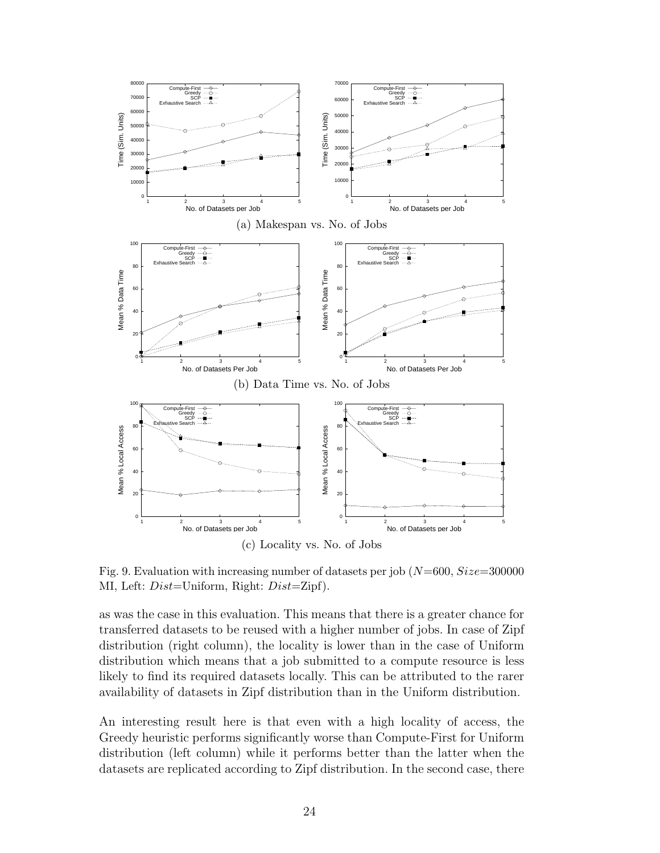

Fig. 9. Evaluation with increasing number of datasets per job  $(N=600, Size=300000$ MI, Left: Dist=Uniform, Right: Dist=Zipf).

as was the case in this evaluation. This means that there is a greater chance for transferred datasets to be reused with a higher number of jobs. In case of Zipf distribution (right column), the locality is lower than in the case of Uniform distribution which means that a job submitted to a compute resource is less likely to find its required datasets locally. This can be attributed to the rarer availability of datasets in Zipf distribution than in the Uniform distribution.

An interesting result here is that even with a high locality of access, the Greedy heuristic performs significantly worse than Compute-First for Uniform distribution (left column) while it performs better than the latter when the datasets are replicated according to Zipf distribution. In the second case, there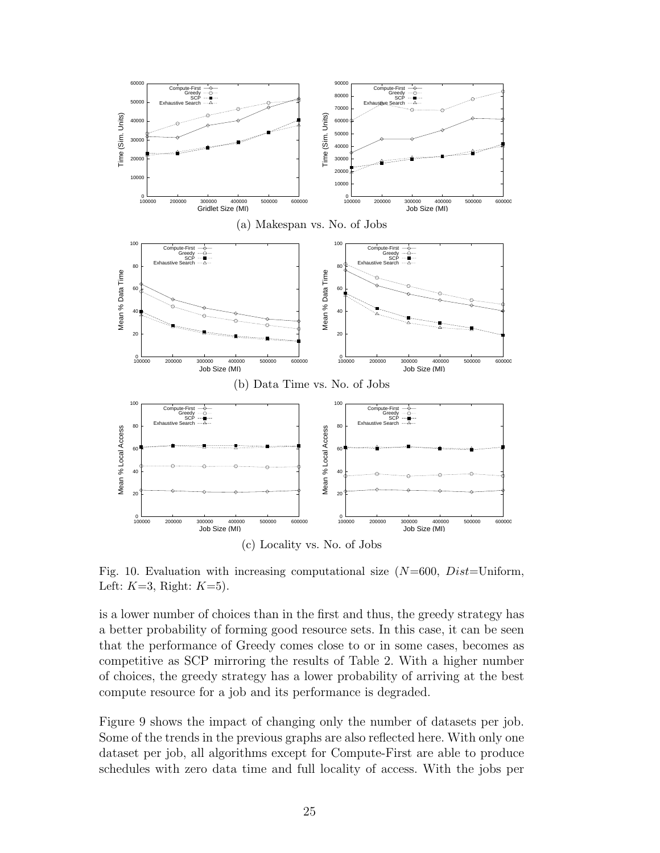

Fig. 10. Evaluation with increasing computational size  $(N=600, Dist=Uniform)$ , Left:  $K=3$ , Right:  $K=5$ ).

is a lower number of choices than in the first and thus, the greedy strategy has a better probability of forming good resource sets. In this case, it can be seen that the performance of Greedy comes close to or in some cases, becomes as competitive as SCP mirroring the results of Table 2. With a higher number of choices, the greedy strategy has a lower probability of arriving at the best compute resource for a job and its performance is degraded.

Figure 9 shows the impact of changing only the number of datasets per job. Some of the trends in the previous graphs are also reflected here. With only one dataset per job, all algorithms except for Compute-First are able to produce schedules with zero data time and full locality of access. With the jobs per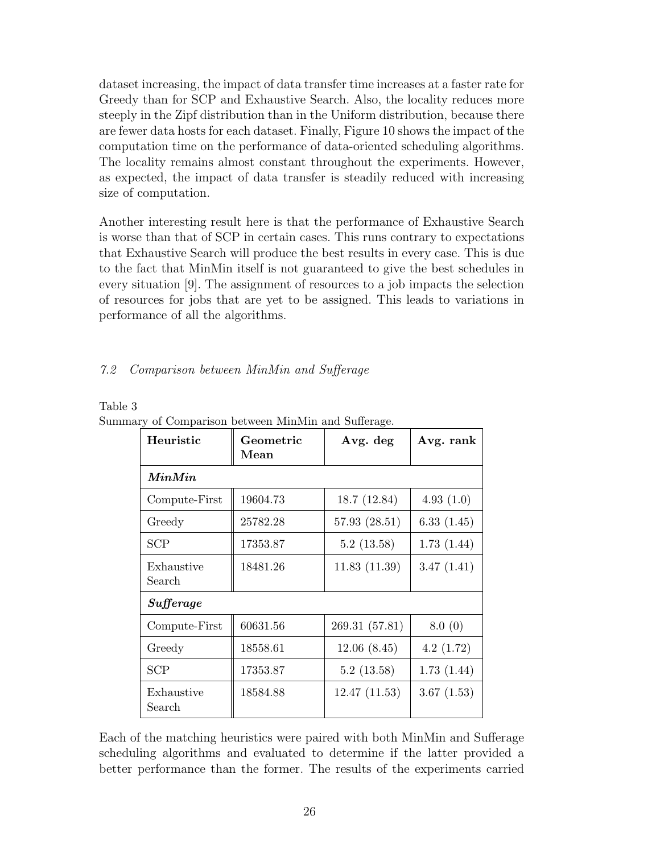dataset increasing, the impact of data transfer time increases at a faster rate for Greedy than for SCP and Exhaustive Search. Also, the locality reduces more steeply in the Zipf distribution than in the Uniform distribution, because there are fewer data hosts for each dataset. Finally, Figure 10 shows the impact of the computation time on the performance of data-oriented scheduling algorithms. The locality remains almost constant throughout the experiments. However, as expected, the impact of data transfer is steadily reduced with increasing size of computation.

Another interesting result here is that the performance of Exhaustive Search is worse than that of SCP in certain cases. This runs contrary to expectations that Exhaustive Search will produce the best results in every case. This is due to the fact that MinMin itself is not guaranteed to give the best schedules in every situation [9]. The assignment of resources to a job impacts the selection of resources for jobs that are yet to be assigned. This leads to variations in performance of all the algorithms.

# 7.2 Comparison between MinMin and Sufferage

| able |  |
|------|--|
|      |  |

| Heuristic            | Geometric<br>Mean | Avg. deg       | Avg. rank  |
|----------------------|-------------------|----------------|------------|
| MinMin               |                   |                |            |
| Compute-First        | 19604.73          | 18.7 (12.84)   | 4.93(1.0)  |
| Greedy               | 25782.28          | 57.93(28.51)   | 6.33(1.45) |
| <b>SCP</b>           | 17353.87          | 5.2(13.58)     | 1.73(1.44) |
| Exhaustive<br>Search | 18481.26          | 11.83(11.39)   | 3.47(1.41) |
| Sufferage            |                   |                |            |
| Compute-First        | 60631.56          | 269.31 (57.81) | 8.0(0)     |
| Greedy               | 18558.61          | 12.06(8.45)    | 4.2(1.72)  |
| <b>SCP</b>           | 17353.87          | 5.2(13.58)     | 1.73(1.44) |
| Exhaustive<br>Search | 18584.88          | 12.47(11.53)   | 3.67(1.53) |

Summary of Comparison between MinMin and Sufferage.

Each of the matching heuristics were paired with both MinMin and Sufferage scheduling algorithms and evaluated to determine if the latter provided a better performance than the former. The results of the experiments carried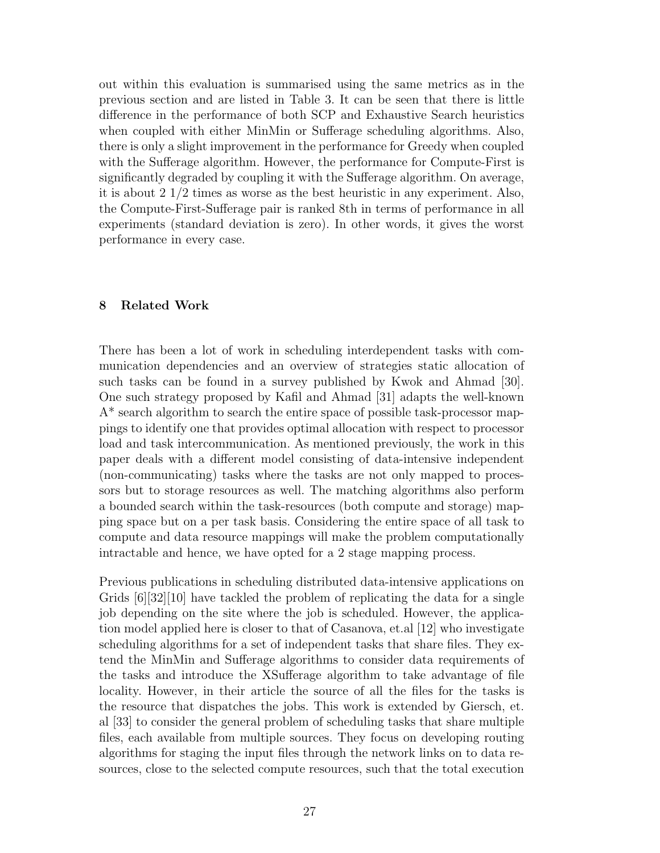out within this evaluation is summarised using the same metrics as in the previous section and are listed in Table 3. It can be seen that there is little difference in the performance of both SCP and Exhaustive Search heuristics when coupled with either MinMin or Sufferage scheduling algorithms. Also, there is only a slight improvement in the performance for Greedy when coupled with the Sufferage algorithm. However, the performance for Compute-First is significantly degraded by coupling it with the Sufferage algorithm. On average, it is about 2 1/2 times as worse as the best heuristic in any experiment. Also, the Compute-First-Sufferage pair is ranked 8th in terms of performance in all experiments (standard deviation is zero). In other words, it gives the worst performance in every case.

## 8 Related Work

There has been a lot of work in scheduling interdependent tasks with communication dependencies and an overview of strategies static allocation of such tasks can be found in a survey published by Kwok and Ahmad [30]. One such strategy proposed by Kafil and Ahmad [31] adapts the well-known A\* search algorithm to search the entire space of possible task-processor mappings to identify one that provides optimal allocation with respect to processor load and task intercommunication. As mentioned previously, the work in this paper deals with a different model consisting of data-intensive independent (non-communicating) tasks where the tasks are not only mapped to processors but to storage resources as well. The matching algorithms also perform a bounded search within the task-resources (both compute and storage) mapping space but on a per task basis. Considering the entire space of all task to compute and data resource mappings will make the problem computationally intractable and hence, we have opted for a 2 stage mapping process.

Previous publications in scheduling distributed data-intensive applications on Grids [6][32][10] have tackled the problem of replicating the data for a single job depending on the site where the job is scheduled. However, the application model applied here is closer to that of Casanova, et.al [12] who investigate scheduling algorithms for a set of independent tasks that share files. They extend the MinMin and Sufferage algorithms to consider data requirements of the tasks and introduce the XSufferage algorithm to take advantage of file locality. However, in their article the source of all the files for the tasks is the resource that dispatches the jobs. This work is extended by Giersch, et. al [33] to consider the general problem of scheduling tasks that share multiple files, each available from multiple sources. They focus on developing routing algorithms for staging the input files through the network links on to data resources, close to the selected compute resources, such that the total execution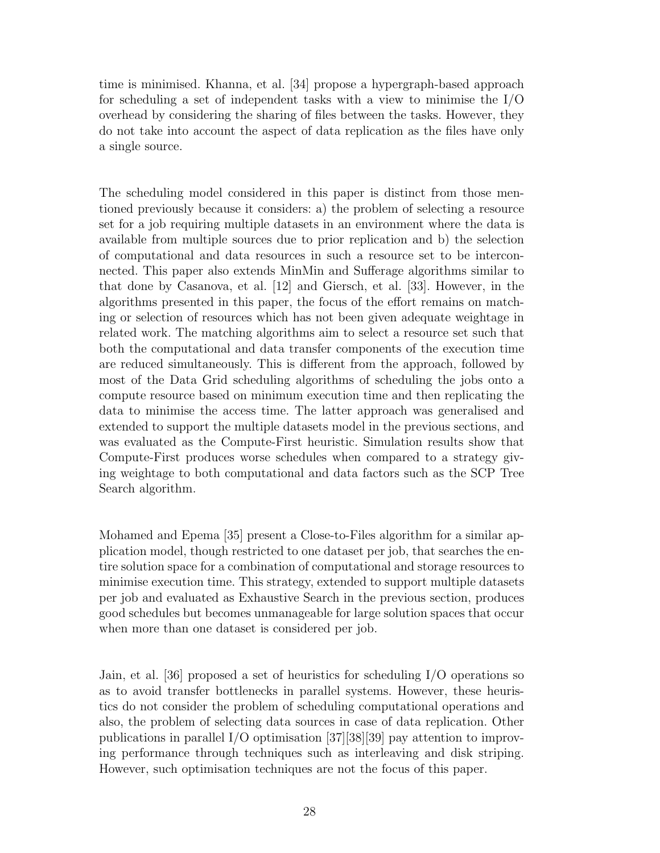time is minimised. Khanna, et al. [34] propose a hypergraph-based approach for scheduling a set of independent tasks with a view to minimise the I/O overhead by considering the sharing of files between the tasks. However, they do not take into account the aspect of data replication as the files have only a single source.

The scheduling model considered in this paper is distinct from those mentioned previously because it considers: a) the problem of selecting a resource set for a job requiring multiple datasets in an environment where the data is available from multiple sources due to prior replication and b) the selection of computational and data resources in such a resource set to be interconnected. This paper also extends MinMin and Sufferage algorithms similar to that done by Casanova, et al. [12] and Giersch, et al. [33]. However, in the algorithms presented in this paper, the focus of the effort remains on matching or selection of resources which has not been given adequate weightage in related work. The matching algorithms aim to select a resource set such that both the computational and data transfer components of the execution time are reduced simultaneously. This is different from the approach, followed by most of the Data Grid scheduling algorithms of scheduling the jobs onto a compute resource based on minimum execution time and then replicating the data to minimise the access time. The latter approach was generalised and extended to support the multiple datasets model in the previous sections, and was evaluated as the Compute-First heuristic. Simulation results show that Compute-First produces worse schedules when compared to a strategy giving weightage to both computational and data factors such as the SCP Tree Search algorithm.

Mohamed and Epema [35] present a Close-to-Files algorithm for a similar application model, though restricted to one dataset per job, that searches the entire solution space for a combination of computational and storage resources to minimise execution time. This strategy, extended to support multiple datasets per job and evaluated as Exhaustive Search in the previous section, produces good schedules but becomes unmanageable for large solution spaces that occur when more than one dataset is considered per job.

Jain, et al. [36] proposed a set of heuristics for scheduling I/O operations so as to avoid transfer bottlenecks in parallel systems. However, these heuristics do not consider the problem of scheduling computational operations and also, the problem of selecting data sources in case of data replication. Other publications in parallel I/O optimisation [37][38][39] pay attention to improving performance through techniques such as interleaving and disk striping. However, such optimisation techniques are not the focus of this paper.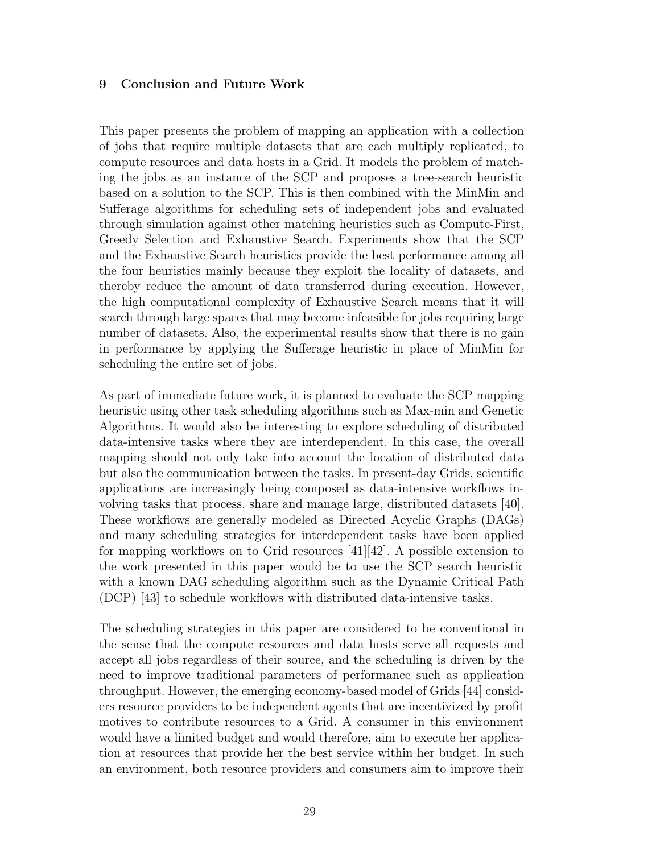## 9 Conclusion and Future Work

This paper presents the problem of mapping an application with a collection of jobs that require multiple datasets that are each multiply replicated, to compute resources and data hosts in a Grid. It models the problem of matching the jobs as an instance of the SCP and proposes a tree-search heuristic based on a solution to the SCP. This is then combined with the MinMin and Sufferage algorithms for scheduling sets of independent jobs and evaluated through simulation against other matching heuristics such as Compute-First, Greedy Selection and Exhaustive Search. Experiments show that the SCP and the Exhaustive Search heuristics provide the best performance among all the four heuristics mainly because they exploit the locality of datasets, and thereby reduce the amount of data transferred during execution. However, the high computational complexity of Exhaustive Search means that it will search through large spaces that may become infeasible for jobs requiring large number of datasets. Also, the experimental results show that there is no gain in performance by applying the Sufferage heuristic in place of MinMin for scheduling the entire set of jobs.

As part of immediate future work, it is planned to evaluate the SCP mapping heuristic using other task scheduling algorithms such as Max-min and Genetic Algorithms. It would also be interesting to explore scheduling of distributed data-intensive tasks where they are interdependent. In this case, the overall mapping should not only take into account the location of distributed data but also the communication between the tasks. In present-day Grids, scientific applications are increasingly being composed as data-intensive workflows involving tasks that process, share and manage large, distributed datasets [40]. These workflows are generally modeled as Directed Acyclic Graphs (DAGs) and many scheduling strategies for interdependent tasks have been applied for mapping workflows on to Grid resources [41][42]. A possible extension to the work presented in this paper would be to use the SCP search heuristic with a known DAG scheduling algorithm such as the Dynamic Critical Path (DCP) [43] to schedule workflows with distributed data-intensive tasks.

The scheduling strategies in this paper are considered to be conventional in the sense that the compute resources and data hosts serve all requests and accept all jobs regardless of their source, and the scheduling is driven by the need to improve traditional parameters of performance such as application throughput. However, the emerging economy-based model of Grids [44] considers resource providers to be independent agents that are incentivized by profit motives to contribute resources to a Grid. A consumer in this environment would have a limited budget and would therefore, aim to execute her application at resources that provide her the best service within her budget. In such an environment, both resource providers and consumers aim to improve their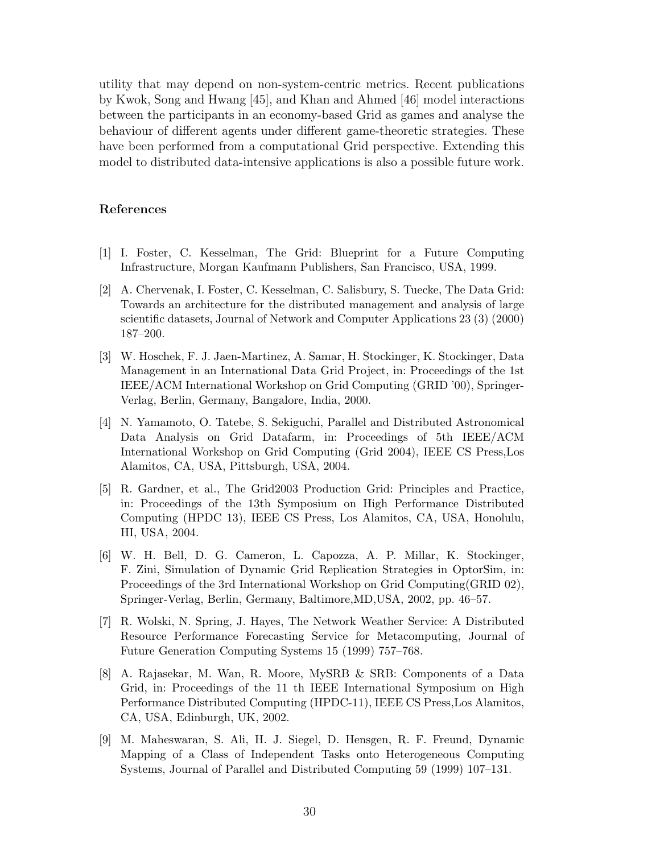utility that may depend on non-system-centric metrics. Recent publications by Kwok, Song and Hwang [45], and Khan and Ahmed [46] model interactions between the participants in an economy-based Grid as games and analyse the behaviour of different agents under different game-theoretic strategies. These have been performed from a computational Grid perspective. Extending this model to distributed data-intensive applications is also a possible future work.

## References

- [1] I. Foster, C. Kesselman, The Grid: Blueprint for a Future Computing Infrastructure, Morgan Kaufmann Publishers, San Francisco, USA, 1999.
- [2] A. Chervenak, I. Foster, C. Kesselman, C. Salisbury, S. Tuecke, The Data Grid: Towards an architecture for the distributed management and analysis of large scientific datasets, Journal of Network and Computer Applications 23 (3) (2000) 187–200.
- [3] W. Hoschek, F. J. Jaen-Martinez, A. Samar, H. Stockinger, K. Stockinger, Data Management in an International Data Grid Project, in: Proceedings of the 1st IEEE/ACM International Workshop on Grid Computing (GRID '00), Springer-Verlag, Berlin, Germany, Bangalore, India, 2000.
- [4] N. Yamamoto, O. Tatebe, S. Sekiguchi, Parallel and Distributed Astronomical Data Analysis on Grid Datafarm, in: Proceedings of 5th IEEE/ACM International Workshop on Grid Computing (Grid 2004), IEEE CS Press,Los Alamitos, CA, USA, Pittsburgh, USA, 2004.
- [5] R. Gardner, et al., The Grid2003 Production Grid: Principles and Practice, in: Proceedings of the 13th Symposium on High Performance Distributed Computing (HPDC 13), IEEE CS Press, Los Alamitos, CA, USA, Honolulu, HI, USA, 2004.
- [6] W. H. Bell, D. G. Cameron, L. Capozza, A. P. Millar, K. Stockinger, F. Zini, Simulation of Dynamic Grid Replication Strategies in OptorSim, in: Proceedings of the 3rd International Workshop on Grid Computing(GRID 02), Springer-Verlag, Berlin, Germany, Baltimore,MD,USA, 2002, pp. 46–57.
- [7] R. Wolski, N. Spring, J. Hayes, The Network Weather Service: A Distributed Resource Performance Forecasting Service for Metacomputing, Journal of Future Generation Computing Systems 15 (1999) 757–768.
- [8] A. Rajasekar, M. Wan, R. Moore, MySRB & SRB: Components of a Data Grid, in: Proceedings of the 11 th IEEE International Symposium on High Performance Distributed Computing (HPDC-11), IEEE CS Press,Los Alamitos, CA, USA, Edinburgh, UK, 2002.
- [9] M. Maheswaran, S. Ali, H. J. Siegel, D. Hensgen, R. F. Freund, Dynamic Mapping of a Class of Independent Tasks onto Heterogeneous Computing Systems, Journal of Parallel and Distributed Computing 59 (1999) 107–131.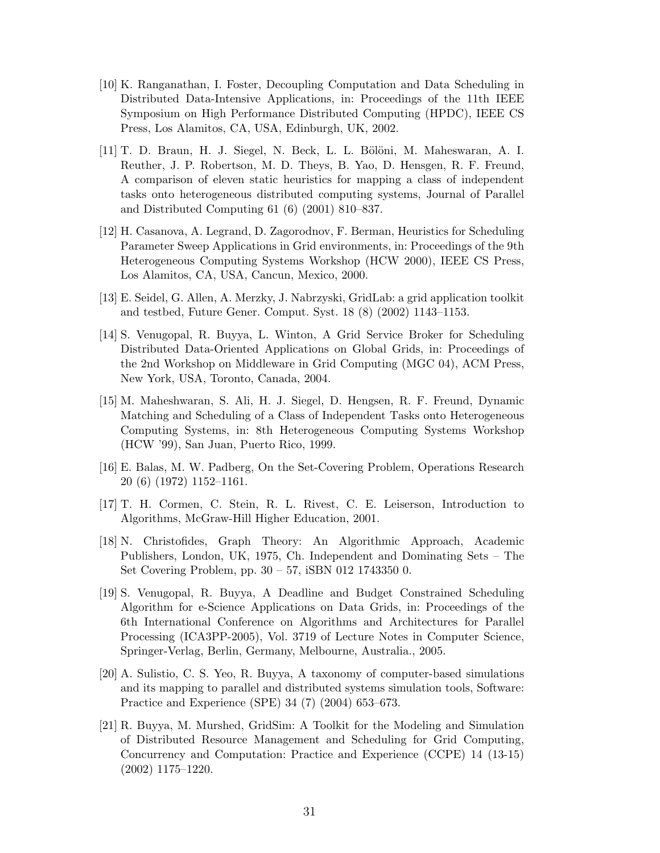- [10] K. Ranganathan, I. Foster, Decoupling Computation and Data Scheduling in Distributed Data-Intensive Applications, in: Proceedings of the 11th IEEE Symposium on High Performance Distributed Computing (HPDC), IEEE CS Press, Los Alamitos, CA, USA, Edinburgh, UK, 2002.
- [11] T. D. Braun, H. J. Siegel, N. Beck, L. L. B¨ol¨oni, M. Maheswaran, A. I. Reuther, J. P. Robertson, M. D. Theys, B. Yao, D. Hensgen, R. F. Freund, A comparison of eleven static heuristics for mapping a class of independent tasks onto heterogeneous distributed computing systems, Journal of Parallel and Distributed Computing 61 (6) (2001) 810–837.
- [12] H. Casanova, A. Legrand, D. Zagorodnov, F. Berman, Heuristics for Scheduling Parameter Sweep Applications in Grid environments, in: Proceedings of the 9th Heterogeneous Computing Systems Workshop (HCW 2000), IEEE CS Press, Los Alamitos, CA, USA, Cancun, Mexico, 2000.
- [13] E. Seidel, G. Allen, A. Merzky, J. Nabrzyski, GridLab: a grid application toolkit and testbed, Future Gener. Comput. Syst. 18 (8) (2002) 1143–1153.
- [14] S. Venugopal, R. Buyya, L. Winton, A Grid Service Broker for Scheduling Distributed Data-Oriented Applications on Global Grids, in: Proceedings of the 2nd Workshop on Middleware in Grid Computing (MGC 04), ACM Press, New York, USA, Toronto, Canada, 2004.
- [15] M. Maheshwaran, S. Ali, H. J. Siegel, D. Hengsen, R. F. Freund, Dynamic Matching and Scheduling of a Class of Independent Tasks onto Heterogeneous Computing Systems, in: 8th Heterogeneous Computing Systems Workshop (HCW '99), San Juan, Puerto Rico, 1999.
- [16] E. Balas, M. W. Padberg, On the Set-Covering Problem, Operations Research 20 (6) (1972) 1152–1161.
- [17] T. H. Cormen, C. Stein, R. L. Rivest, C. E. Leiserson, Introduction to Algorithms, McGraw-Hill Higher Education, 2001.
- [18] N. Christofides, Graph Theory: An Algorithmic Approach, Academic Publishers, London, UK, 1975, Ch. Independent and Dominating Sets – The Set Covering Problem, pp. 30 – 57, iSBN 012 1743350 0.
- [19] S. Venugopal, R. Buyya, A Deadline and Budget Constrained Scheduling Algorithm for e-Science Applications on Data Grids, in: Proceedings of the 6th International Conference on Algorithms and Architectures for Parallel Processing (ICA3PP-2005), Vol. 3719 of Lecture Notes in Computer Science, Springer-Verlag, Berlin, Germany, Melbourne, Australia., 2005.
- [20] A. Sulistio, C. S. Yeo, R. Buyya, A taxonomy of computer-based simulations and its mapping to parallel and distributed systems simulation tools, Software: Practice and Experience (SPE) 34 (7) (2004) 653–673.
- [21] R. Buyya, M. Murshed, GridSim: A Toolkit for the Modeling and Simulation of Distributed Resource Management and Scheduling for Grid Computing, Concurrency and Computation: Practice and Experience (CCPE) 14 (13-15) (2002) 1175–1220.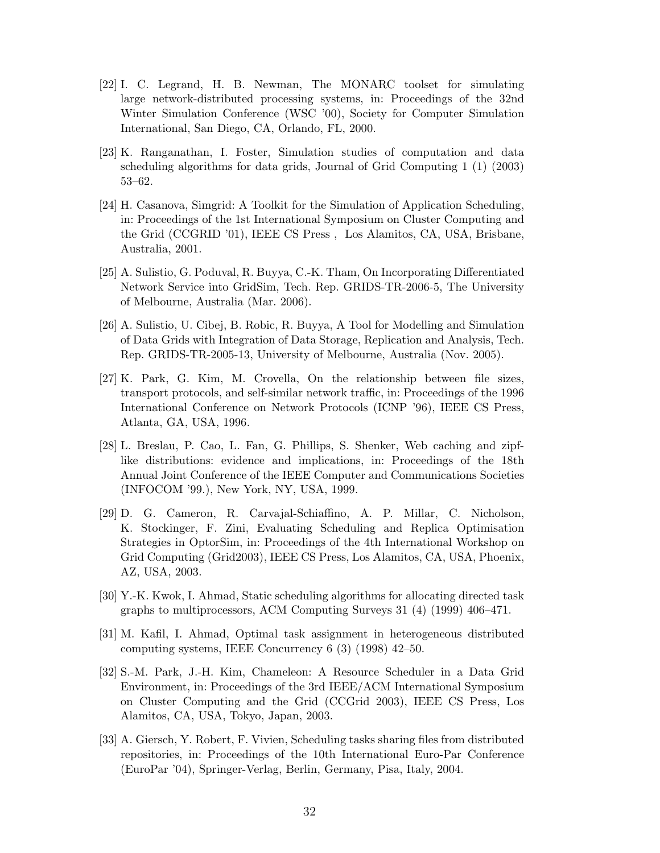- [22] I. C. Legrand, H. B. Newman, The MONARC toolset for simulating large network-distributed processing systems, in: Proceedings of the 32nd Winter Simulation Conference (WSC '00), Society for Computer Simulation International, San Diego, CA, Orlando, FL, 2000.
- [23] K. Ranganathan, I. Foster, Simulation studies of computation and data scheduling algorithms for data grids, Journal of Grid Computing 1 (1) (2003) 53–62.
- [24] H. Casanova, Simgrid: A Toolkit for the Simulation of Application Scheduling, in: Proceedings of the 1st International Symposium on Cluster Computing and the Grid (CCGRID '01), IEEE CS Press , Los Alamitos, CA, USA, Brisbane, Australia, 2001.
- [25] A. Sulistio, G. Poduval, R. Buyya, C.-K. Tham, On Incorporating Differentiated Network Service into GridSim, Tech. Rep. GRIDS-TR-2006-5, The University of Melbourne, Australia (Mar. 2006).
- [26] A. Sulistio, U. Cibej, B. Robic, R. Buyya, A Tool for Modelling and Simulation of Data Grids with Integration of Data Storage, Replication and Analysis, Tech. Rep. GRIDS-TR-2005-13, University of Melbourne, Australia (Nov. 2005).
- [27] K. Park, G. Kim, M. Crovella, On the relationship between file sizes, transport protocols, and self-similar network traffic, in: Proceedings of the 1996 International Conference on Network Protocols (ICNP '96), IEEE CS Press, Atlanta, GA, USA, 1996.
- [28] L. Breslau, P. Cao, L. Fan, G. Phillips, S. Shenker, Web caching and zipflike distributions: evidence and implications, in: Proceedings of the 18th Annual Joint Conference of the IEEE Computer and Communications Societies (INFOCOM '99.), New York, NY, USA, 1999.
- [29] D. G. Cameron, R. Carvajal-Schiaffino, A. P. Millar, C. Nicholson, K. Stockinger, F. Zini, Evaluating Scheduling and Replica Optimisation Strategies in OptorSim, in: Proceedings of the 4th International Workshop on Grid Computing (Grid2003), IEEE CS Press, Los Alamitos, CA, USA, Phoenix, AZ, USA, 2003.
- [30] Y.-K. Kwok, I. Ahmad, Static scheduling algorithms for allocating directed task graphs to multiprocessors, ACM Computing Surveys 31 (4) (1999) 406–471.
- [31] M. Kafil, I. Ahmad, Optimal task assignment in heterogeneous distributed computing systems, IEEE Concurrency 6 (3) (1998) 42–50.
- [32] S.-M. Park, J.-H. Kim, Chameleon: A Resource Scheduler in a Data Grid Environment, in: Proceedings of the 3rd IEEE/ACM International Symposium on Cluster Computing and the Grid (CCGrid 2003), IEEE CS Press, Los Alamitos, CA, USA, Tokyo, Japan, 2003.
- [33] A. Giersch, Y. Robert, F. Vivien, Scheduling tasks sharing files from distributed repositories, in: Proceedings of the 10th International Euro-Par Conference (EuroPar '04), Springer-Verlag, Berlin, Germany, Pisa, Italy, 2004.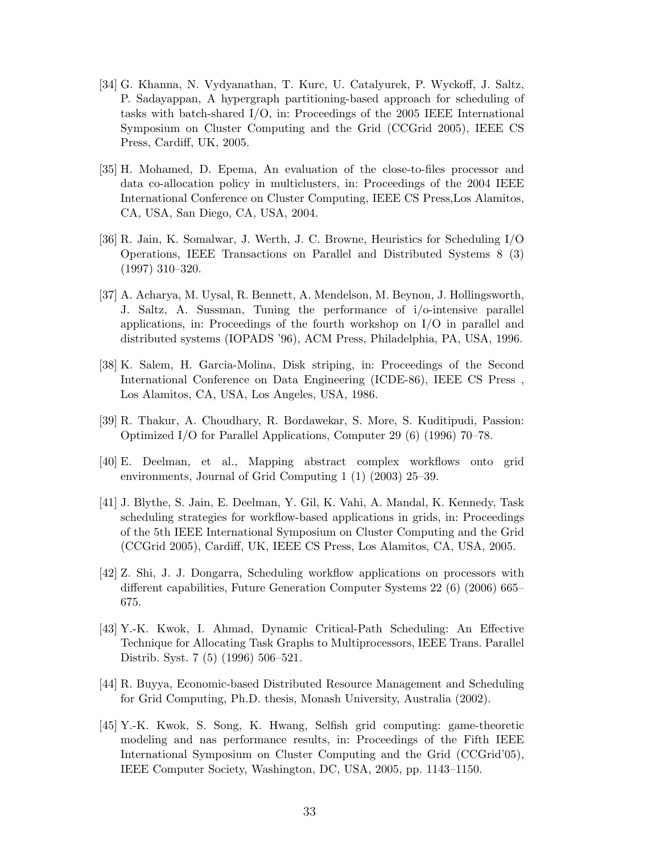- [34] G. Khanna, N. Vydyanathan, T. Kurc, U. Catalyurek, P. Wyckoff, J. Saltz, P. Sadayappan, A hypergraph partitioning-based approach for scheduling of tasks with batch-shared I/O, in: Proceedings of the 2005 IEEE International Symposium on Cluster Computing and the Grid (CCGrid 2005), IEEE CS Press, Cardiff, UK, 2005.
- [35] H. Mohamed, D. Epema, An evaluation of the close-to-files processor and data co-allocation policy in multiclusters, in: Proceedings of the 2004 IEEE International Conference on Cluster Computing, IEEE CS Press,Los Alamitos, CA, USA, San Diego, CA, USA, 2004.
- [36] R. Jain, K. Somalwar, J. Werth, J. C. Browne, Heuristics for Scheduling I/O Operations, IEEE Transactions on Parallel and Distributed Systems 8 (3) (1997) 310–320.
- [37] A. Acharya, M. Uysal, R. Bennett, A. Mendelson, M. Beynon, J. Hollingsworth, J. Saltz, A. Sussman, Tuning the performance of i/o-intensive parallel applications, in: Proceedings of the fourth workshop on  $I/O$  in parallel and distributed systems (IOPADS '96), ACM Press, Philadelphia, PA, USA, 1996.
- [38] K. Salem, H. Garcia-Molina, Disk striping, in: Proceedings of the Second International Conference on Data Engineering (ICDE-86), IEEE CS Press , Los Alamitos, CA, USA, Los Angeles, USA, 1986.
- [39] R. Thakur, A. Choudhary, R. Bordawekar, S. More, S. Kuditipudi, Passion: Optimized I/O for Parallel Applications, Computer 29 (6) (1996) 70–78.
- [40] E. Deelman, et al., Mapping abstract complex workflows onto grid environments, Journal of Grid Computing 1 (1) (2003) 25–39.
- [41] J. Blythe, S. Jain, E. Deelman, Y. Gil, K. Vahi, A. Mandal, K. Kennedy, Task scheduling strategies for workflow-based applications in grids, in: Proceedings of the 5th IEEE International Symposium on Cluster Computing and the Grid (CCGrid 2005), Cardiff, UK, IEEE CS Press, Los Alamitos, CA, USA, 2005.
- [42] Z. Shi, J. J. Dongarra, Scheduling workflow applications on processors with different capabilities, Future Generation Computer Systems 22 (6) (2006) 665– 675.
- [43] Y.-K. Kwok, I. Ahmad, Dynamic Critical-Path Scheduling: An Effective Technique for Allocating Task Graphs to Multiprocessors, IEEE Trans. Parallel Distrib. Syst. 7 (5) (1996) 506–521.
- [44] R. Buyya, Economic-based Distributed Resource Management and Scheduling for Grid Computing, Ph.D. thesis, Monash University, Australia (2002).
- [45] Y.-K. Kwok, S. Song, K. Hwang, Selfish grid computing: game-theoretic modeling and nas performance results, in: Proceedings of the Fifth IEEE International Symposium on Cluster Computing and the Grid (CCGrid'05), IEEE Computer Society, Washington, DC, USA, 2005, pp. 1143–1150.